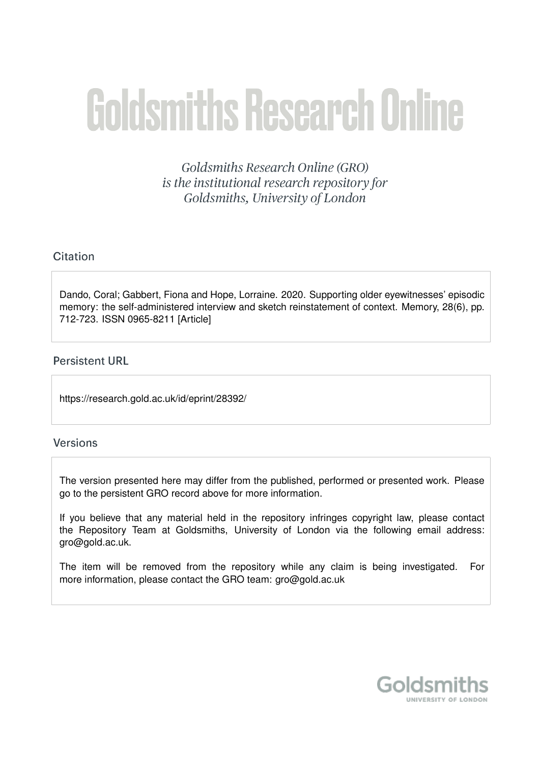# **Goldsmiths Research Online**

Goldsmiths Research Online (GRO) is the institutional research repository for Goldsmiths, University of London

# Citation

Dando, Coral; Gabbert, Fiona and Hope, Lorraine. 2020. Supporting older eyewitnesses' episodic memory: the self-administered interview and sketch reinstatement of context. Memory, 28(6), pp. 712-723. ISSN 0965-8211 [Article]

# **Persistent URL**

https://research.gold.ac.uk/id/eprint/28392/

# **Versions**

The version presented here may differ from the published, performed or presented work. Please go to the persistent GRO record above for more information.

If you believe that any material held in the repository infringes copyright law, please contact the Repository Team at Goldsmiths, University of London via the following email address: gro@gold.ac.uk.

The item will be removed from the repository while any claim is being investigated. For more information, please contact the GRO team: gro@gold.ac.uk

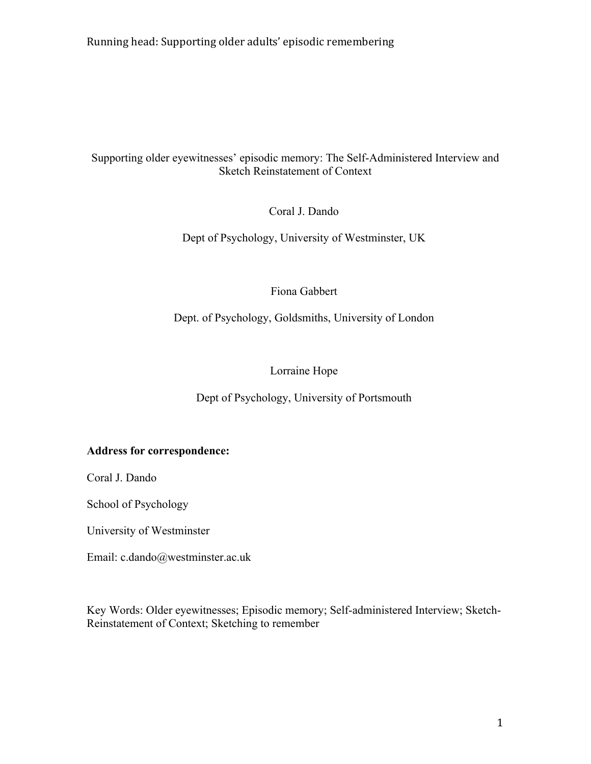# Supporting older eyewitnesses' episodic memory: The Self-Administered Interview and Sketch Reinstatement of Context

Coral J. Dando

Dept of Psychology, University of Westminster, UK

# Fiona Gabbert

Dept. of Psychology, Goldsmiths, University of London

# Lorraine Hope

# Dept of Psychology, University of Portsmouth

# **Address for correspondence:**

Coral J. Dando

School of Psychology

University of Westminster

Email: c.dando@westminster.ac.uk

Key Words: Older eyewitnesses; Episodic memory; Self-administered Interview; Sketch-Reinstatement of Context; Sketching to remember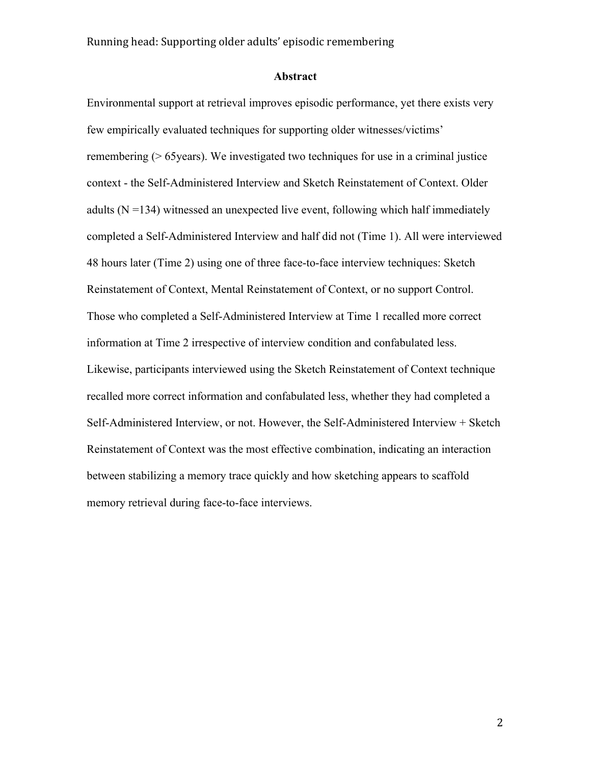# **Abstract**

Environmental support at retrieval improves episodic performance, yet there exists very few empirically evaluated techniques for supporting older witnesses/victims' remembering (> 65years). We investigated two techniques for use in a criminal justice context - the Self-Administered Interview and Sketch Reinstatement of Context. Older adults  $(N = 134)$  witnessed an unexpected live event, following which half immediately completed a Self-Administered Interview and half did not (Time 1). All were interviewed 48 hours later (Time 2) using one of three face-to-face interview techniques: Sketch Reinstatement of Context, Mental Reinstatement of Context, or no support Control. Those who completed a Self-Administered Interview at Time 1 recalled more correct information at Time 2 irrespective of interview condition and confabulated less. Likewise, participants interviewed using the Sketch Reinstatement of Context technique recalled more correct information and confabulated less, whether they had completed a Self-Administered Interview, or not. However, the Self-Administered Interview + Sketch Reinstatement of Context was the most effective combination, indicating an interaction between stabilizing a memory trace quickly and how sketching appears to scaffold memory retrieval during face-to-face interviews.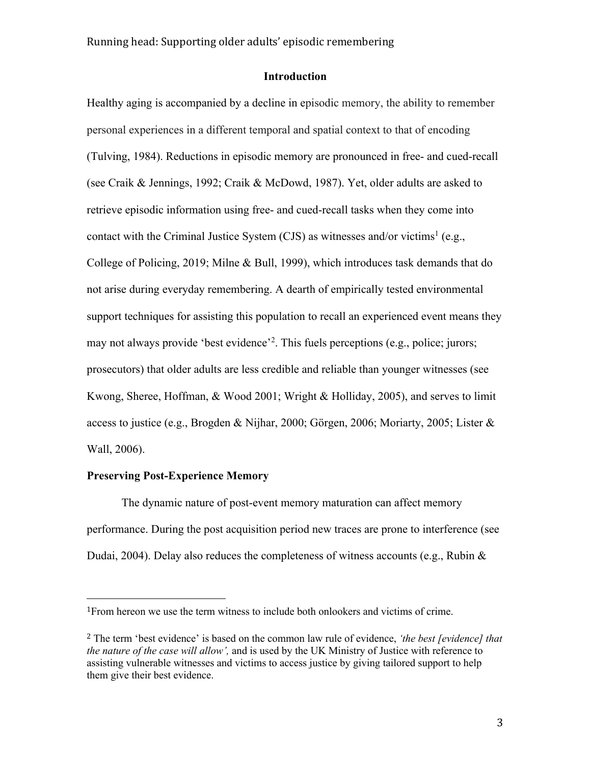# **Introduction**

Healthy aging is accompanied by a decline in episodic memory, the ability to remember personal experiences in a different temporal and spatial context to that of encoding (Tulving, 1984). Reductions in episodic memory are pronounced in free- and cued-recall (see Craik & Jennings, 1992; Craik & McDowd, 1987). Yet, older adults are asked to retrieve episodic information using free- and cued-recall tasks when they come into contact with the Criminal Justice System (CJS) as witnesses and/or victims<sup>1</sup> (e.g., College of Policing, 2019; Milne & Bull, 1999), which introduces task demands that do not arise during everyday remembering. A dearth of empirically tested environmental support techniques for assisting this population to recall an experienced event means they may not always provide 'best evidence'<sup>2</sup>. This fuels perceptions (e.g., police; jurors; prosecutors) that older adults are less credible and reliable than younger witnesses (see Kwong, Sheree, Hoffman, & Wood 2001; Wright & Holliday, 2005), and serves to limit access to justice (e.g., Brogden & Nijhar, 2000; Görgen, 2006; Moriarty, 2005; Lister & Wall, 2006).

## **Preserving Post-Experience Memory**

The dynamic nature of post-event memory maturation can affect memory performance. During the post acquisition period new traces are prone to interference (see Dudai, 2004). Delay also reduces the completeness of witness accounts (e.g., Rubin &

<sup>1</sup>From hereon we use the term witness to include both onlookers and victims of crime.

<sup>2</sup> The term 'best evidence' is based on the common law rule of evidence, *'the best [evidence] that the nature of the case will allow',* and is used by the UK Ministry of Justice with reference to assisting vulnerable witnesses and victims to access justice by giving tailored support to help them give their best evidence.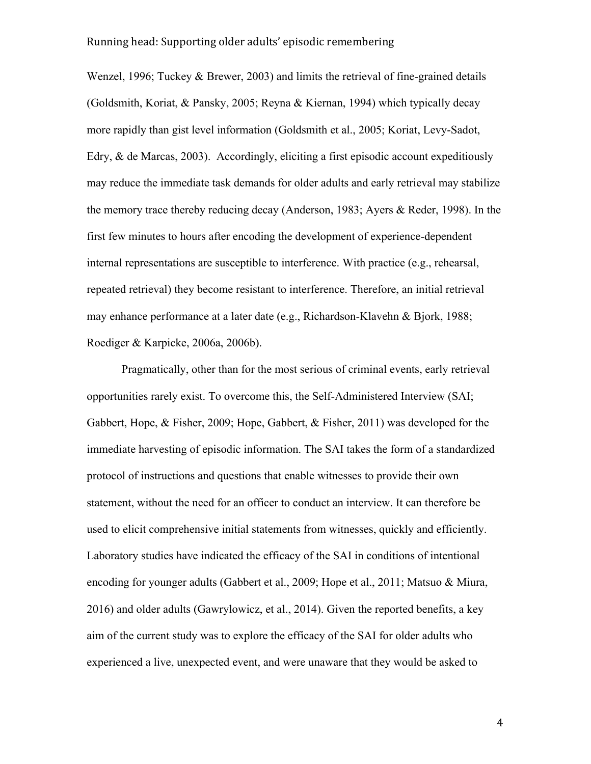Wenzel, 1996; Tuckey & Brewer, 2003) and limits the retrieval of fine-grained details (Goldsmith, Koriat, & Pansky, 2005; Reyna & Kiernan, 1994) which typically decay more rapidly than gist level information (Goldsmith et al., 2005; Koriat, Levy-Sadot, Edry, & de Marcas, 2003). Accordingly, eliciting a first episodic account expeditiously may reduce the immediate task demands for older adults and early retrieval may stabilize the memory trace thereby reducing decay (Anderson, 1983; Ayers & Reder, 1998). In the first few minutes to hours after encoding the development of experience-dependent internal representations are susceptible to interference. With practice (e.g., rehearsal, repeated retrieval) they become resistant to interference. Therefore, an initial retrieval may enhance performance at a later date (e.g., Richardson-Klavehn & Bjork, 1988; Roediger & Karpicke, 2006a, 2006b).

Pragmatically, other than for the most serious of criminal events, early retrieval opportunities rarely exist. To overcome this, the Self-Administered Interview (SAI; Gabbert, Hope, & Fisher, 2009; Hope, Gabbert, & Fisher, 2011) was developed for the immediate harvesting of episodic information. The SAI takes the form of a standardized protocol of instructions and questions that enable witnesses to provide their own statement, without the need for an officer to conduct an interview. It can therefore be used to elicit comprehensive initial statements from witnesses, quickly and efficiently. Laboratory studies have indicated the efficacy of the SAI in conditions of intentional encoding for younger adults (Gabbert et al., 2009; Hope et al., 2011; Matsuo & Miura, 2016) and older adults (Gawrylowicz, et al., 2014). Given the reported benefits, a key aim of the current study was to explore the efficacy of the SAI for older adults who experienced a live, unexpected event, and were unaware that they would be asked to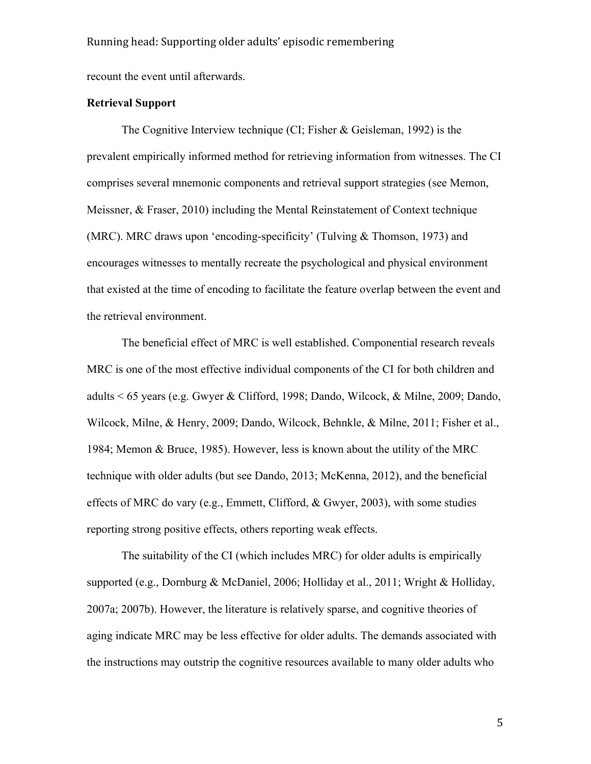recount the event until afterwards.

# **Retrieval Support**

The Cognitive Interview technique (CI; Fisher & Geisleman, 1992) is the prevalent empirically informed method for retrieving information from witnesses. The CI comprises several mnemonic components and retrieval support strategies (see Memon, Meissner, & Fraser, 2010) including the Mental Reinstatement of Context technique (MRC). MRC draws upon 'encoding-specificity' (Tulving & Thomson, 1973) and encourages witnesses to mentally recreate the psychological and physical environment that existed at the time of encoding to facilitate the feature overlap between the event and the retrieval environment.

The beneficial effect of MRC is well established. Componential research reveals MRC is one of the most effective individual components of the CI for both children and adults < 65 years (e.g. Gwyer & Clifford, 1998; Dando, Wilcock, & Milne, 2009; Dando, Wilcock, Milne, & Henry, 2009; Dando, Wilcock, Behnkle, & Milne, 2011; Fisher et al., 1984; Memon & Bruce, 1985). However, less is known about the utility of the MRC technique with older adults (but see Dando, 2013; McKenna, 2012), and the beneficial effects of MRC do vary (e.g., Emmett, Clifford, & Gwyer, 2003), with some studies reporting strong positive effects, others reporting weak effects.

The suitability of the CI (which includes MRC) for older adults is empirically supported (e.g., Dornburg & McDaniel, 2006; Holliday et al., 2011; Wright & Holliday, 2007a; 2007b). However, the literature is relatively sparse, and cognitive theories of aging indicate MRC may be less effective for older adults. The demands associated with the instructions may outstrip the cognitive resources available to many older adults who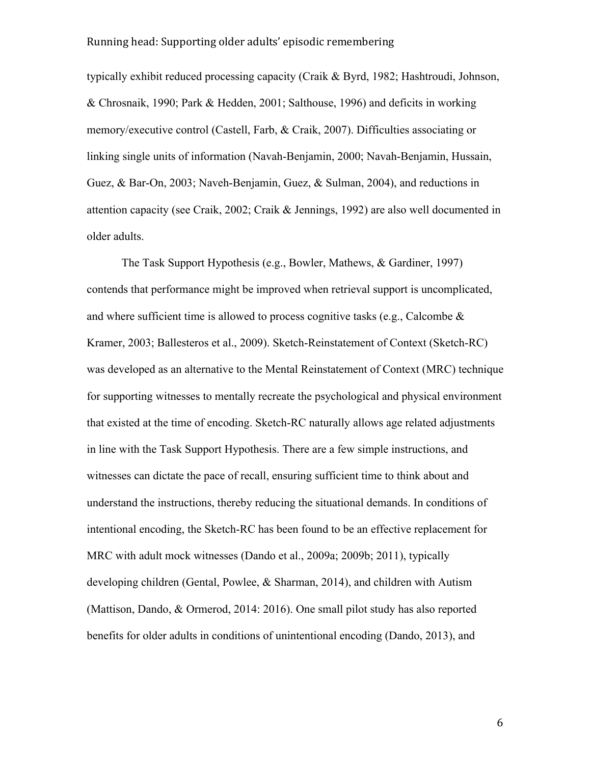typically exhibit reduced processing capacity (Craik & Byrd, 1982; Hashtroudi, Johnson, & Chrosnaik, 1990; Park & Hedden, 2001; Salthouse, 1996) and deficits in working memory/executive control (Castell, Farb, & Craik, 2007). Difficulties associating or linking single units of information (Navah-Benjamin, 2000; Navah-Benjamin, Hussain, Guez, & Bar-On, 2003; Naveh-Benjamin, Guez, & Sulman, 2004), and reductions in attention capacity (see Craik, 2002; Craik & Jennings, 1992) are also well documented in older adults.

The Task Support Hypothesis (e.g., Bowler, Mathews, & Gardiner, 1997) contends that performance might be improved when retrieval support is uncomplicated, and where sufficient time is allowed to process cognitive tasks (e.g., Calcombe  $\&$ Kramer, 2003; Ballesteros et al., 2009). Sketch-Reinstatement of Context (Sketch-RC) was developed as an alternative to the Mental Reinstatement of Context (MRC) technique for supporting witnesses to mentally recreate the psychological and physical environment that existed at the time of encoding. Sketch-RC naturally allows age related adjustments in line with the Task Support Hypothesis. There are a few simple instructions, and witnesses can dictate the pace of recall, ensuring sufficient time to think about and understand the instructions, thereby reducing the situational demands. In conditions of intentional encoding, the Sketch-RC has been found to be an effective replacement for MRC with adult mock witnesses (Dando et al., 2009a; 2009b; 2011), typically developing children (Gental, Powlee, & Sharman, 2014), and children with Autism (Mattison, Dando, & Ormerod, 2014: 2016). One small pilot study has also reported benefits for older adults in conditions of unintentional encoding (Dando, 2013), and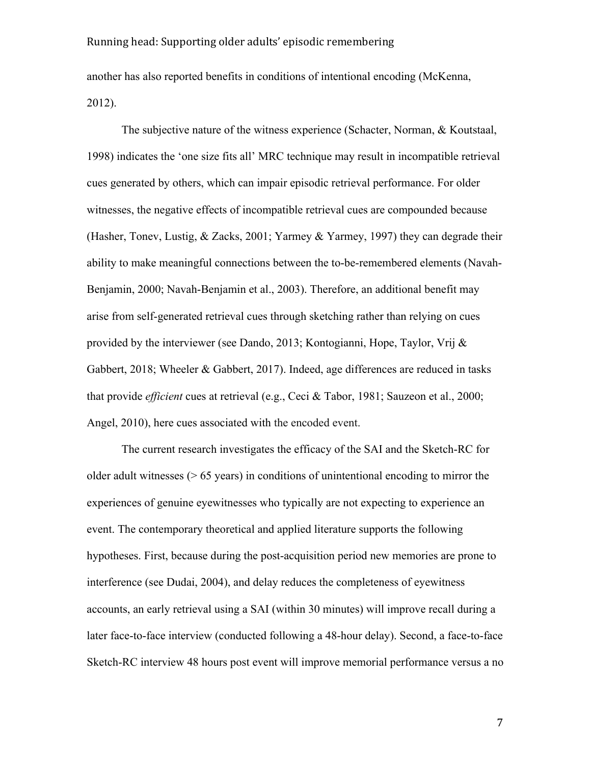another has also reported benefits in conditions of intentional encoding (McKenna, 2012).

The subjective nature of the witness experience (Schacter, Norman, & Koutstaal, 1998) indicates the 'one size fits all' MRC technique may result in incompatible retrieval cues generated by others, which can impair episodic retrieval performance. For older witnesses, the negative effects of incompatible retrieval cues are compounded because (Hasher, Tonev, Lustig, & Zacks, 2001; Yarmey & Yarmey, 1997) they can degrade their ability to make meaningful connections between the to-be-remembered elements (Navah-Benjamin, 2000; Navah-Benjamin et al., 2003). Therefore, an additional benefit may arise from self-generated retrieval cues through sketching rather than relying on cues provided by the interviewer (see Dando, 2013; Kontogianni, Hope, Taylor, Vrij & Gabbert, 2018; Wheeler & Gabbert, 2017). Indeed, age differences are reduced in tasks that provide *efficient* cues at retrieval (e.g., Ceci & Tabor, 1981; Sauzeon et al., 2000; Angel, 2010), here cues associated with the encoded event.

The current research investigates the efficacy of the SAI and the Sketch-RC for older adult witnesses  $(0.65 \text{ years})$  in conditions of unintentional encoding to mirror the experiences of genuine eyewitnesses who typically are not expecting to experience an event. The contemporary theoretical and applied literature supports the following hypotheses. First, because during the post-acquisition period new memories are prone to interference (see Dudai, 2004), and delay reduces the completeness of eyewitness accounts, an early retrieval using a SAI (within 30 minutes) will improve recall during a later face-to-face interview (conducted following a 48-hour delay). Second, a face-to-face Sketch-RC interview 48 hours post event will improve memorial performance versus a no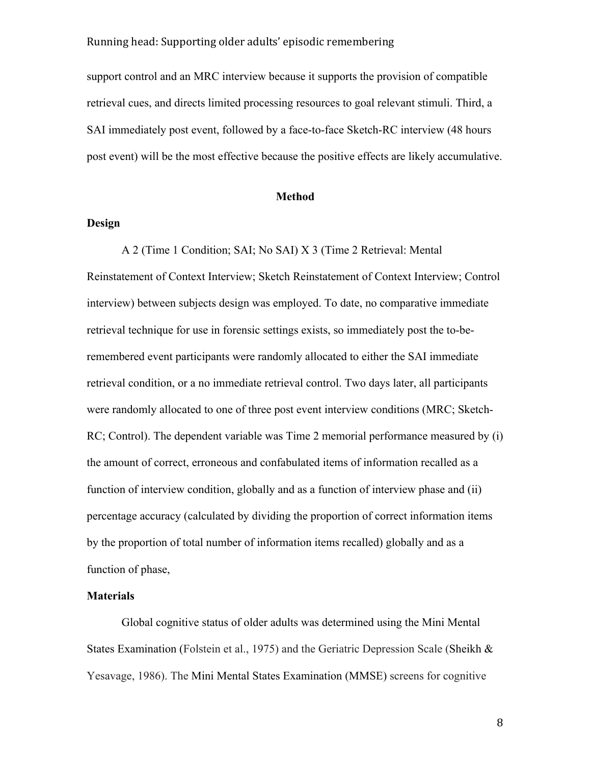support control and an MRC interview because it supports the provision of compatible retrieval cues, and directs limited processing resources to goal relevant stimuli. Third, a SAI immediately post event, followed by a face-to-face Sketch-RC interview (48 hours post event) will be the most effective because the positive effects are likely accumulative.

## **Method**

# **Design**

A 2 (Time 1 Condition; SAI; No SAI) X 3 (Time 2 Retrieval: Mental Reinstatement of Context Interview; Sketch Reinstatement of Context Interview; Control interview) between subjects design was employed. To date, no comparative immediate retrieval technique for use in forensic settings exists, so immediately post the to-beremembered event participants were randomly allocated to either the SAI immediate retrieval condition, or a no immediate retrieval control. Two days later, all participants were randomly allocated to one of three post event interview conditions (MRC; Sketch-RC; Control). The dependent variable was Time 2 memorial performance measured by (i) the amount of correct, erroneous and confabulated items of information recalled as a function of interview condition, globally and as a function of interview phase and (ii) percentage accuracy (calculated by dividing the proportion of correct information items by the proportion of total number of information items recalled) globally and as a function of phase,

# **Materials**

Global cognitive status of older adults was determined using the Mini Mental States Examination (Folstein et al., 1975) and the Geriatric Depression Scale (Sheikh & Yesavage, 1986). The Mini Mental States Examination (MMSE) screens for cognitive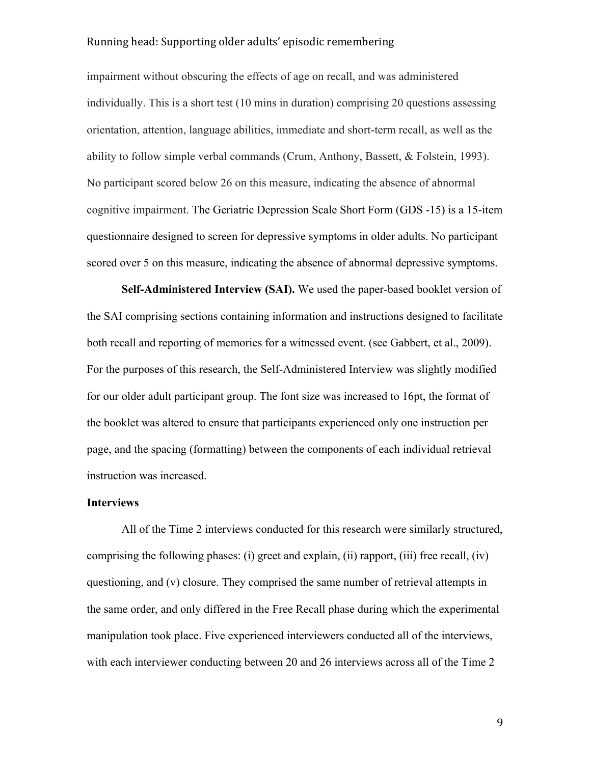impairment without obscuring the effects of age on recall, and was administered individually. This is a short test (10 mins in duration) comprising 20 questions assessing orientation, attention, language abilities, immediate and short-term recall, as well as the ability to follow simple verbal commands (Crum, Anthony, Bassett, & Folstein, 1993). No participant scored below 26 on this measure, indicating the absence of abnormal cognitive impairment. The Geriatric Depression Scale Short Form (GDS -15) is a 15-item questionnaire designed to screen for depressive symptoms in older adults. No participant scored over 5 on this measure, indicating the absence of abnormal depressive symptoms.

**Self-Administered Interview (SAI).** We used the paper-based booklet version of the SAI comprising sections containing information and instructions designed to facilitate both recall and reporting of memories for a witnessed event. (see Gabbert, et al., 2009). For the purposes of this research, the Self-Administered Interview was slightly modified for our older adult participant group. The font size was increased to 16pt, the format of the booklet was altered to ensure that participants experienced only one instruction per page, and the spacing (formatting) between the components of each individual retrieval instruction was increased.

#### **Interviews**

All of the Time 2 interviews conducted for this research were similarly structured, comprising the following phases: (i) greet and explain, (ii) rapport, (iii) free recall, (iv) questioning, and (v) closure. They comprised the same number of retrieval attempts in the same order, and only differed in the Free Recall phase during which the experimental manipulation took place. Five experienced interviewers conducted all of the interviews, with each interviewer conducting between 20 and 26 interviews across all of the Time 2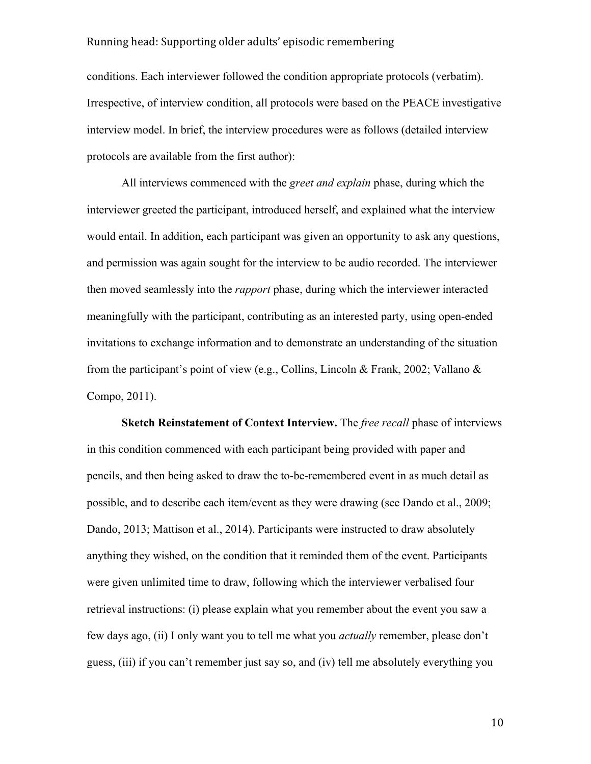conditions. Each interviewer followed the condition appropriate protocols (verbatim). Irrespective, of interview condition, all protocols were based on the PEACE investigative interview model. In brief, the interview procedures were as follows (detailed interview protocols are available from the first author):

All interviews commenced with the *greet and explain* phase, during which the interviewer greeted the participant, introduced herself, and explained what the interview would entail. In addition, each participant was given an opportunity to ask any questions, and permission was again sought for the interview to be audio recorded. The interviewer then moved seamlessly into the *rapport* phase, during which the interviewer interacted meaningfully with the participant, contributing as an interested party, using open-ended invitations to exchange information and to demonstrate an understanding of the situation from the participant's point of view (e.g., Collins, Lincoln & Frank, 2002; Vallano & Compo, 2011).

**Sketch Reinstatement of Context Interview.** The *free recall* phase of interviews in this condition commenced with each participant being provided with paper and pencils, and then being asked to draw the to-be-remembered event in as much detail as possible, and to describe each item/event as they were drawing (see Dando et al., 2009; Dando, 2013; Mattison et al., 2014). Participants were instructed to draw absolutely anything they wished, on the condition that it reminded them of the event. Participants were given unlimited time to draw, following which the interviewer verbalised four retrieval instructions: (i) please explain what you remember about the event you saw a few days ago, (ii) I only want you to tell me what you *actually* remember, please don't guess, (iii) if you can't remember just say so, and (iv) tell me absolutely everything you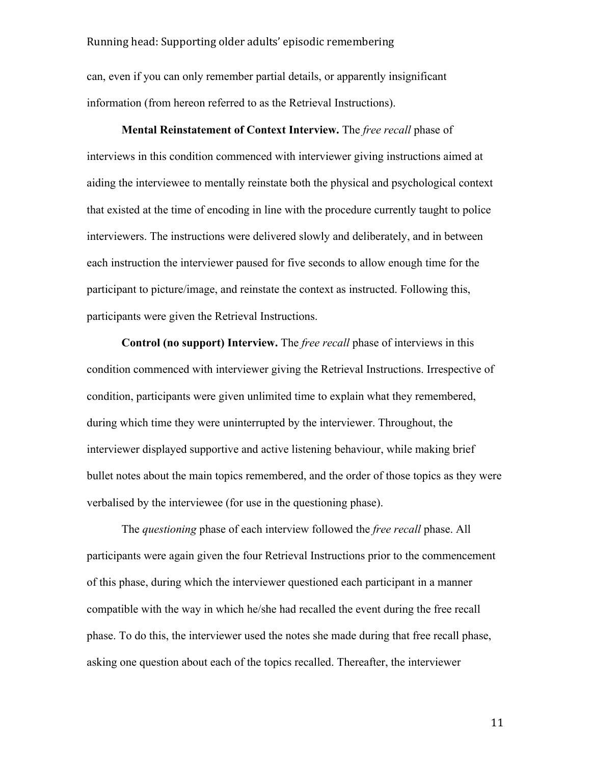can, even if you can only remember partial details, or apparently insignificant information (from hereon referred to as the Retrieval Instructions).

**Mental Reinstatement of Context Interview.** The *free recall* phase of interviews in this condition commenced with interviewer giving instructions aimed at aiding the interviewee to mentally reinstate both the physical and psychological context that existed at the time of encoding in line with the procedure currently taught to police interviewers. The instructions were delivered slowly and deliberately, and in between each instruction the interviewer paused for five seconds to allow enough time for the participant to picture/image, and reinstate the context as instructed. Following this, participants were given the Retrieval Instructions.

**Control (no support) Interview.** The *free recall* phase of interviews in this condition commenced with interviewer giving the Retrieval Instructions. Irrespective of condition, participants were given unlimited time to explain what they remembered, during which time they were uninterrupted by the interviewer. Throughout, the interviewer displayed supportive and active listening behaviour, while making brief bullet notes about the main topics remembered, and the order of those topics as they were verbalised by the interviewee (for use in the questioning phase).

The *questioning* phase of each interview followed the *free recall* phase. All participants were again given the four Retrieval Instructions prior to the commencement of this phase, during which the interviewer questioned each participant in a manner compatible with the way in which he/she had recalled the event during the free recall phase. To do this, the interviewer used the notes she made during that free recall phase, asking one question about each of the topics recalled. Thereafter, the interviewer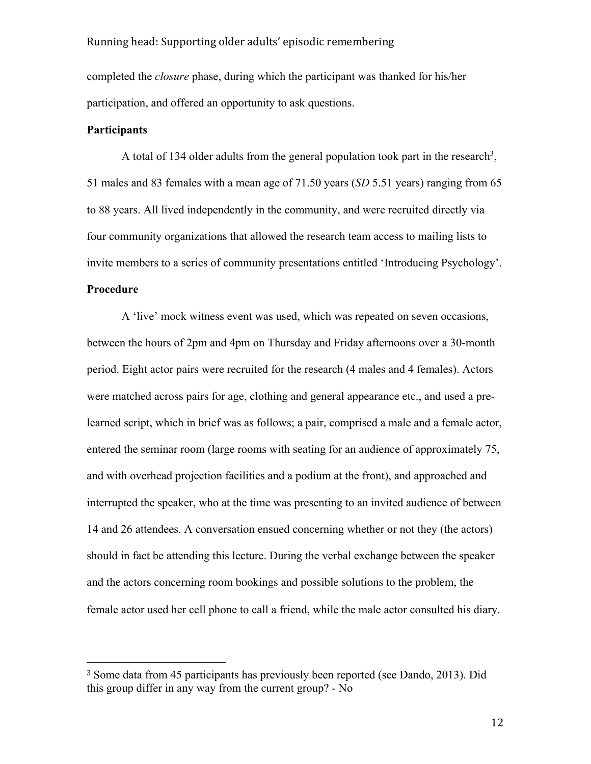completed the *closure* phase, during which the participant was thanked for his/her participation, and offered an opportunity to ask questions.

#### **Participants**

A total of 134 older adults from the general population took part in the research<sup>3</sup>, 51 males and 83 females with a mean age of 71.50 years (*SD* 5.51 years) ranging from 65 to 88 years. All lived independently in the community, and were recruited directly via four community organizations that allowed the research team access to mailing lists to invite members to a series of community presentations entitled 'Introducing Psychology'. **Procedure**

A 'live' mock witness event was used, which was repeated on seven occasions, between the hours of 2pm and 4pm on Thursday and Friday afternoons over a 30-month period. Eight actor pairs were recruited for the research (4 males and 4 females). Actors were matched across pairs for age, clothing and general appearance etc., and used a prelearned script, which in brief was as follows; a pair, comprised a male and a female actor, entered the seminar room (large rooms with seating for an audience of approximately 75, and with overhead projection facilities and a podium at the front), and approached and interrupted the speaker, who at the time was presenting to an invited audience of between 14 and 26 attendees. A conversation ensued concerning whether or not they (the actors) should in fact be attending this lecture. During the verbal exchange between the speaker and the actors concerning room bookings and possible solutions to the problem, the female actor used her cell phone to call a friend, while the male actor consulted his diary.

<sup>3</sup> Some data from 45 participants has previously been reported (see Dando, 2013). Did this group differ in any way from the current group? - No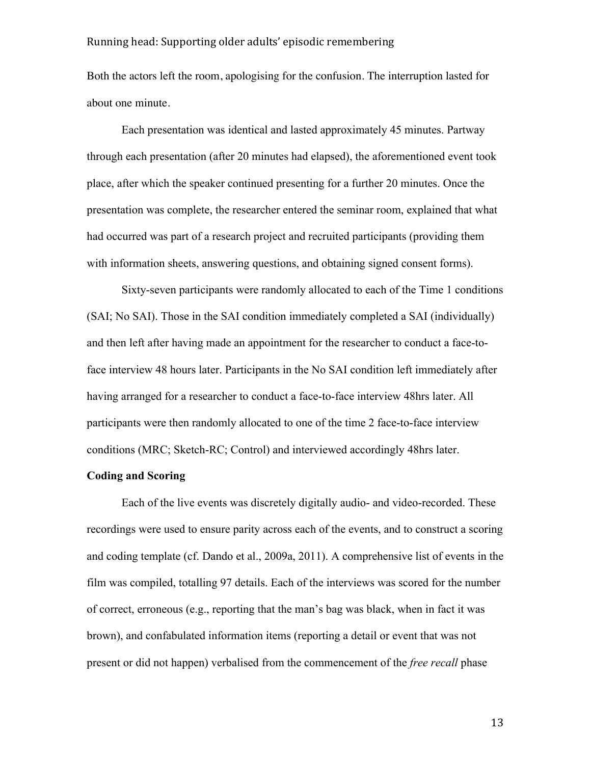Both the actors left the room, apologising for the confusion. The interruption lasted for about one minute.

Each presentation was identical and lasted approximately 45 minutes. Partway through each presentation (after 20 minutes had elapsed), the aforementioned event took place, after which the speaker continued presenting for a further 20 minutes. Once the presentation was complete, the researcher entered the seminar room, explained that what had occurred was part of a research project and recruited participants (providing them with information sheets, answering questions, and obtaining signed consent forms).

Sixty-seven participants were randomly allocated to each of the Time 1 conditions (SAI; No SAI). Those in the SAI condition immediately completed a SAI (individually) and then left after having made an appointment for the researcher to conduct a face-toface interview 48 hours later. Participants in the No SAI condition left immediately after having arranged for a researcher to conduct a face-to-face interview 48hrs later. All participants were then randomly allocated to one of the time 2 face-to-face interview conditions (MRC; Sketch-RC; Control) and interviewed accordingly 48hrs later.

## **Coding and Scoring**

Each of the live events was discretely digitally audio- and video-recorded. These recordings were used to ensure parity across each of the events, and to construct a scoring and coding template (cf. Dando et al., 2009a, 2011). A comprehensive list of events in the film was compiled, totalling 97 details. Each of the interviews was scored for the number of correct, erroneous (e.g., reporting that the man's bag was black, when in fact it was brown), and confabulated information items (reporting a detail or event that was not present or did not happen) verbalised from the commencement of the *free recall* phase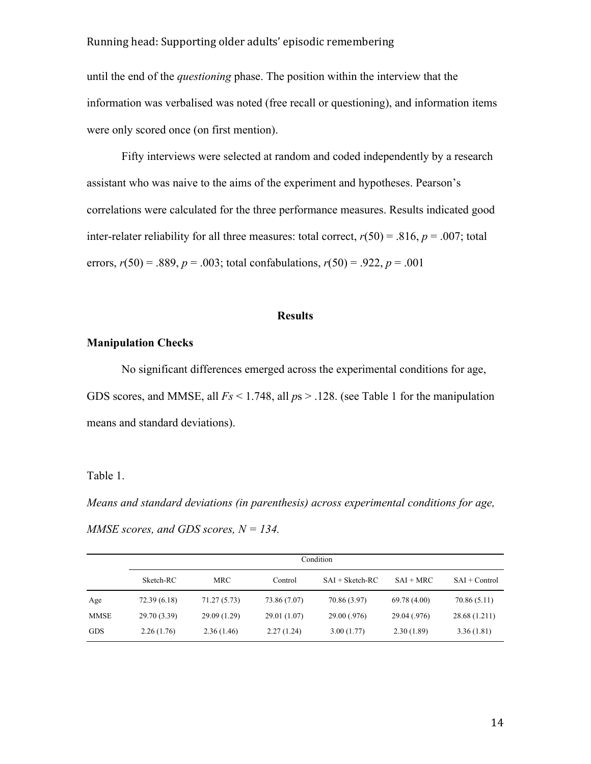until the end of the *questioning* phase. The position within the interview that the information was verbalised was noted (free recall or questioning), and information items were only scored once (on first mention).

Fifty interviews were selected at random and coded independently by a research assistant who was naive to the aims of the experiment and hypotheses. Pearson's correlations were calculated for the three performance measures. Results indicated good inter-relater reliability for all three measures: total correct,  $r(50) = .816$ ,  $p = .007$ ; total errors,  $r(50) = .889$ ,  $p = .003$ ; total confabulations,  $r(50) = .922$ ,  $p = .001$ 

#### **Results**

# **Manipulation Checks**

No significant differences emerged across the experimental conditions for age, GDS scores, and MMSE, all *Fs* < 1.748, all *p*s > .128. (see Table 1 for the manipulation means and standard deviations).

#### Table 1.

*Means and standard deviations (in parenthesis) across experimental conditions for age, MMSE scores, and GDS scores, N = 134.*

|            | Condition    |              |              |                   |              |                 |
|------------|--------------|--------------|--------------|-------------------|--------------|-----------------|
|            | Sketch-RC    | MRC          | Control      | $SAI + Sketch-RC$ | $SAI + MRC$  | $SAI + Control$ |
| Age        | 72.39 (6.18) | 71.27 (5.73) | 73.86 (7.07) | 70.86 (3.97)      | 69.78 (4.00) | 70.86 (5.11)    |
| MMSE       | 29.70 (3.39) | 29.09 (1.29) | 29.01 (1.07) | 29.00 (.976)      | 29.04 (.976) | 28.68 (1.211)   |
| <b>GDS</b> | 2.26(1.76)   | 2.36(1.46)   | 2.27(1.24)   | 3.00(1.77)        | 2.30(1.89)   | 3.36(1.81)      |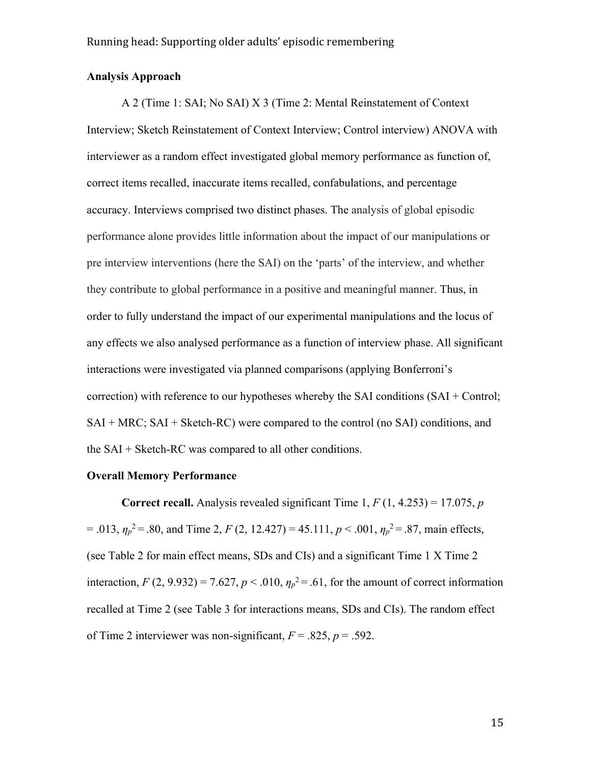# **Analysis Approach**

A 2 (Time 1: SAI; No SAI) X 3 (Time 2: Mental Reinstatement of Context Interview; Sketch Reinstatement of Context Interview; Control interview) ANOVA with interviewer as a random effect investigated global memory performance as function of, correct items recalled, inaccurate items recalled, confabulations, and percentage accuracy. Interviews comprised two distinct phases. The analysis of global episodic performance alone provides little information about the impact of our manipulations or pre interview interventions (here the SAI) on the 'parts' of the interview, and whether they contribute to global performance in a positive and meaningful manner. Thus, in order to fully understand the impact of our experimental manipulations and the locus of any effects we also analysed performance as a function of interview phase. All significant interactions were investigated via planned comparisons (applying Bonferroni's correction) with reference to our hypotheses whereby the SAI conditions (SAI + Control; SAI + MRC; SAI + Sketch-RC) were compared to the control (no SAI) conditions, and the SAI + Sketch-RC was compared to all other conditions.

# **Overall Memory Performance**

**Correct recall.** Analysis revealed significant Time 1,  $F(1, 4.253) = 17.075$ , *p*  $= .013$ ,  $\eta_p^2 = .80$ , and Time 2, *F* (2, 12.427) = 45.111, *p* < .001,  $\eta_p^2 = .87$ , main effects, (see Table 2 for main effect means, SDs and CIs) and a significant Time 1 X Time 2 interaction,  $F(2, 9.932) = 7.627$ ,  $p < .010$ ,  $\eta_p^2 = .61$ , for the amount of correct information recalled at Time 2 (see Table 3 for interactions means, SDs and CIs). The random effect of Time 2 interviewer was non-significant,  $F = .825$ ,  $p = .592$ .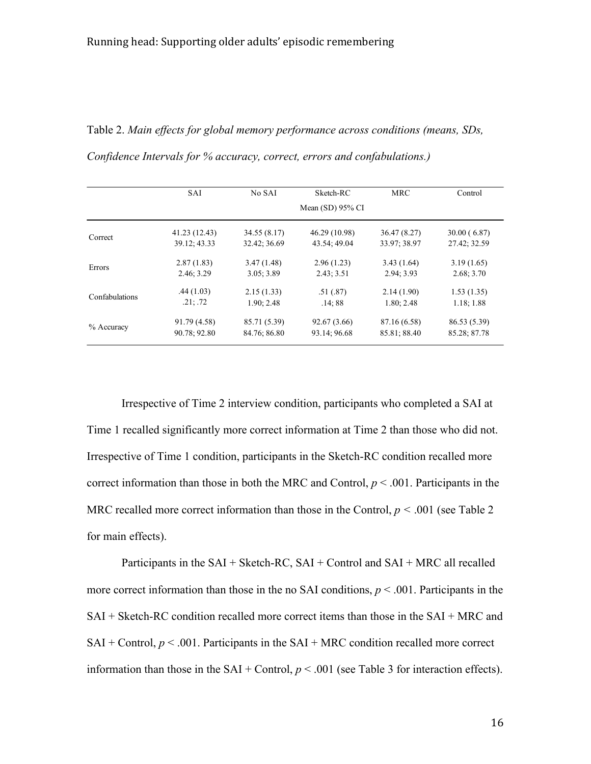Table 2. *Main effects for global memory performance across conditions (means, SDs, Confidence Intervals for % accuracy, correct, errors and confabulations.)* 

|                | SAI           | No SAI       | Sketch-RC          | <b>MRC</b>   | Control      |
|----------------|---------------|--------------|--------------------|--------------|--------------|
|                |               |              | Mean $(SD)$ 95% CI |              |              |
| Correct        | 41.23 (12.43) | 34.55 (8.17) | 46.29 (10.98)      | 36.47 (8.27) | 30.00(6.87)  |
|                | 39.12; 43.33  | 32.42; 36.69 | 43.54; 49.04       | 33.97; 38.97 | 27.42; 32.59 |
| Errors         | 2.87(1.83)    | 3.47(1.48)   | 2.96(1.23)         | 3.43(1.64)   | 3.19(1.65)   |
|                | 2.46; 3.29    | 3.05:3.89    | 2.43; 3.51         | 2.94; 3.93   | 2.68; 3.70   |
| Confabulations | .44(1.03)     | 2.15(1.33)   | .51(.87)           | 2.14(1.90)   | 1.53(1.35)   |
|                | .21: .72      | 1.90; 2.48   | .14;88             | 1.80; 2.48   | 1.18; 1.88   |
| $%$ Accuracy   | 91.79 (4.58)  | 85.71 (5.39) | 92.67 (3.66)       | 87.16 (6.58) | 86.53 (5.39) |
|                | 90.78; 92.80  | 84.76; 86.80 | 93.14; 96.68       | 85.81; 88.40 | 85.28; 87.78 |

Irrespective of Time 2 interview condition, participants who completed a SAI at Time 1 recalled significantly more correct information at Time 2 than those who did not. Irrespective of Time 1 condition, participants in the Sketch-RC condition recalled more correct information than those in both the MRC and Control,  $p < .001$ . Participants in the MRC recalled more correct information than those in the Control,  $p \le 0.001$  (see Table 2) for main effects).

Participants in the  $SAI + Sketch-RC$ ,  $SAI + Control$  and  $SAI + MRC$  all recalled more correct information than those in the no SAI conditions,  $p \le 0.001$ . Participants in the SAI + Sketch-RC condition recalled more correct items than those in the SAI + MRC and  $SAI + Control$ ,  $p < .001$ . Participants in the  $SAI + MRC$  condition recalled more correct information than those in the SAI + Control,  $p < .001$  (see Table 3 for interaction effects).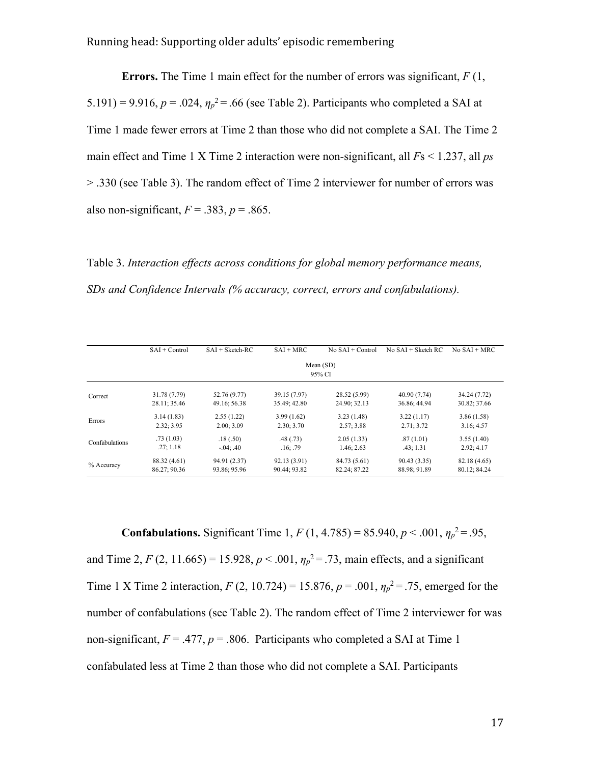**Errors.** The Time 1 main effect for the number of errors was significant, *F* (1, 5.191) = 9.916,  $p = 0.024$ ,  $\eta_p^2 = 0.66$  (see Table 2). Participants who completed a SAI at Time 1 made fewer errors at Time 2 than those who did not complete a SAI. The Time 2 main effect and Time 1 X Time 2 interaction were non-significant, all *F*s < 1.237, all *ps* > .330 (see Table 3). The random effect of Time 2 interviewer for number of errors was also non-significant,  $F = .383$ ,  $p = .865$ .

Table 3. *Interaction effects across conditions for global memory performance means, SDs and Confidence Intervals (% accuracy, correct, errors and confabulations).*

|                | $SAI + Control$       | $SAI + Sketch-RC$ | $SAI + MRC$  | $No SAI + Control$ | $No SAI + Sketch RC$ | $No SAI + MRC$ |  |  |
|----------------|-----------------------|-------------------|--------------|--------------------|----------------------|----------------|--|--|
|                | Mean $(SD)$<br>95% CI |                   |              |                    |                      |                |  |  |
| Correct        | 31.78 (7.79)          | 52.76 (9.77)      | 39.15 (7.97) | 28.52 (5.99)       | 40.90 (7.74)         | 34.24 (7.72)   |  |  |
|                | 28.11; 35.46          | 49.16; 56.38      | 35.49; 42.80 | 24.90; 32.13       | 36.86; 44.94         | 30.82; 37.66   |  |  |
| Errors         | 3.14(1.83)            | 2.55(1.22)        | 3.99(1.62)   | 3.23(1.48)         | 3.22(1.17)           | 3.86(1.58)     |  |  |
|                | 2.32; 3.95            | 2.00:3.09         | 2.30:3.70    | 2.57:3.88          | 2.71:3.72            | 3.16; 4.57     |  |  |
| Confabulations | .73(1.03)             | .18(.50)          | .48(0.73)    | 2.05(1.33)         | .87(1.01)            | 3.55(1.40)     |  |  |
|                | .27:1.18              | $-.04: .40$       | .16; .79     | 1.46; 2.63         | .43:1.31             | 2.92:4.17      |  |  |
| % Accuracy     | 88.32 (4.61)          | 94.91 (2.37)      | 92.13 (3.91) | 84.73 (5.61)       | 90.43 (3.35)         | 82.18 (4.65)   |  |  |
|                | 86.27; 90.36          | 93.86; 95.96      | 90.44; 93.82 | 82.24; 87.22       | 88.98; 91.89         | 80.12; 84.24   |  |  |

**Confabulations.** Significant Time 1,  $F(1, 4.785) = 85.940, p < .001, \eta_p^2 = .95,$ and Time 2,  $F(2, 11.665) = 15.928, p < .001, \eta_p^2 = .73$ , main effects, and a significant Time 1 X Time 2 interaction,  $F(2, 10.724) = 15.876$ ,  $p = .001$ ,  $\eta_p^2 = .75$ , emerged for the number of confabulations (see Table 2). The random effect of Time 2 interviewer for was non-significant,  $F = .477$ ,  $p = .806$ . Participants who completed a SAI at Time 1 confabulated less at Time 2 than those who did not complete a SAI. Participants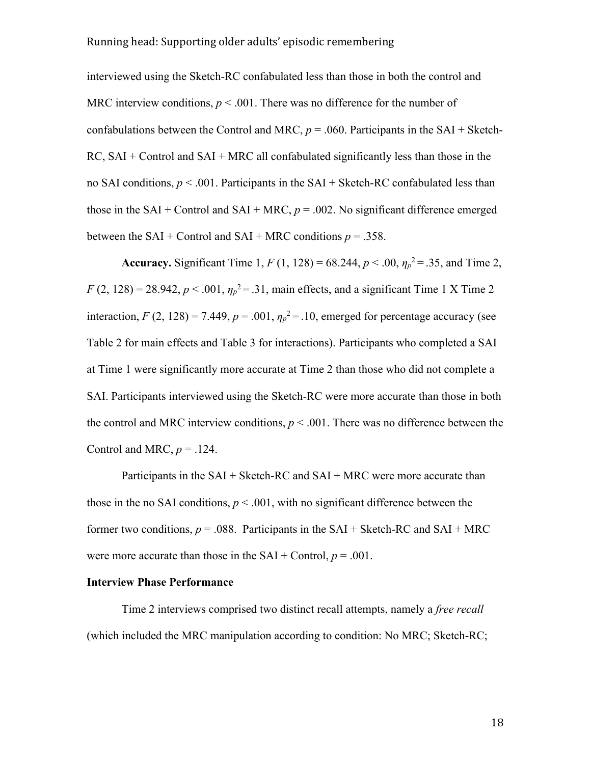interviewed using the Sketch-RC confabulated less than those in both the control and MRC interview conditions,  $p < .001$ . There was no difference for the number of confabulations between the Control and MRC,  $p = .060$ . Participants in the SAI + Sketch- $RC$ ,  $SAI + Control$  and  $SAI + MRC$  all confabulated significantly less than those in the no SAI conditions,  $p < .001$ . Participants in the SAI + Sketch-RC confabulated less than those in the SAI + Control and SAI + MRC,  $p = .002$ . No significant difference emerged between the  $SAI + Control$  and  $SAI + MRC$  conditions  $p = .358$ .

**Accuracy.** Significant Time 1,  $F(1, 128) = 68.244$ ,  $p < .00$ ,  $\eta_p^2 = .35$ , and Time 2,  $F(2, 128) = 28.942, p < .001, \eta_p^2 = .31$ , main effects, and a significant Time 1 X Time 2 interaction,  $F(2, 128) = 7.449$ ,  $p = .001$ ,  $\eta_p^2 = .10$ , emerged for percentage accuracy (see Table 2 for main effects and Table 3 for interactions). Participants who completed a SAI at Time 1 were significantly more accurate at Time 2 than those who did not complete a SAI. Participants interviewed using the Sketch-RC were more accurate than those in both the control and MRC interview conditions,  $p < .001$ . There was no difference between the Control and MRC,  $p = .124$ .

Participants in the  $SAI + Sketch-RC$  and  $SAI + MRC$  were more accurate than those in the no SAI conditions,  $p < .001$ , with no significant difference between the former two conditions,  $p = 0.088$ . Participants in the SAI + Sketch-RC and SAI + MRC were more accurate than those in the  $SAI + Control$ ,  $p = .001$ .

#### **Interview Phase Performance**

Time 2 interviews comprised two distinct recall attempts, namely a *free recall*  (which included the MRC manipulation according to condition: No MRC; Sketch-RC;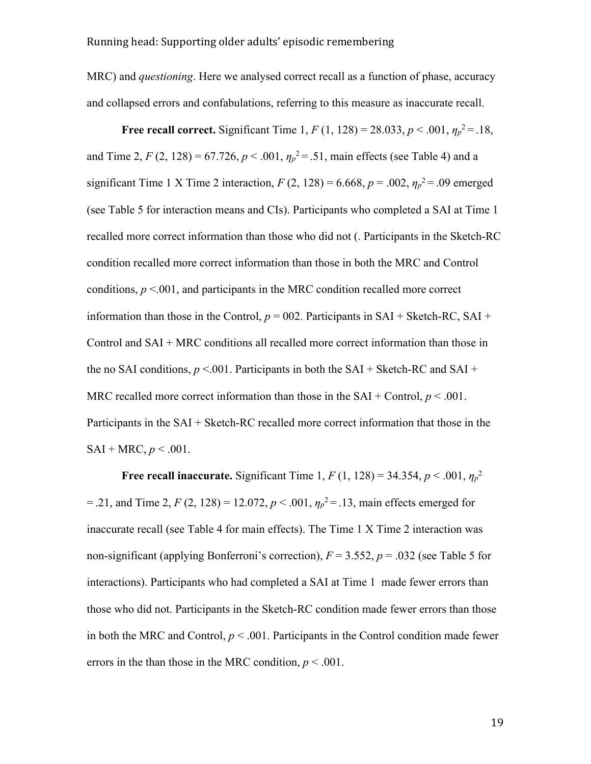MRC) and *questioning*. Here we analysed correct recall as a function of phase, accuracy and collapsed errors and confabulations, referring to this measure as inaccurate recall.

**Free recall correct.** Significant Time 1,  $F(1, 128) = 28.033$ ,  $p < .001$ ,  $\eta_p^2 = .18$ , and Time 2,  $F(2, 128) = 67.726$ ,  $p < .001$ ,  $\eta_p^2 = .51$ , main effects (see Table 4) and a significant Time 1 X Time 2 interaction,  $F(2, 128) = 6.668$ ,  $p = .002$ ,  $\eta_p^2 = .09$  emerged (see Table 5 for interaction means and CIs). Participants who completed a SAI at Time 1 recalled more correct information than those who did not (. Participants in the Sketch-RC condition recalled more correct information than those in both the MRC and Control conditions,  $p \le 0.001$ , and participants in the MRC condition recalled more correct information than those in the Control,  $p = 002$ . Participants in SAI + Sketch-RC, SAI + Control and SAI + MRC conditions all recalled more correct information than those in the no SAI conditions,  $p < 001$ . Participants in both the SAI + Sketch-RC and SAI + MRC recalled more correct information than those in the  $SAI + Control$ ,  $p < .001$ . Participants in the SAI + Sketch-RC recalled more correct information that those in the  $SAI + MRC, p < .001.$ 

**Free recall inaccurate.** Significant Time 1,  $F(1, 128) = 34.354, p < .001, \eta_p^2$  $= .21$ , and Time 2,  $F(2, 128) = 12.072$ ,  $p < .001$ ,  $\eta_p^2 = .13$ , main effects emerged for inaccurate recall (see Table 4 for main effects). The Time 1 X Time 2 interaction was non-significant (applying Bonferroni's correction),  $F = 3.552$ ,  $p = .032$  (see Table 5 for interactions). Participants who had completed a SAI at Time 1 made fewer errors than those who did not. Participants in the Sketch-RC condition made fewer errors than those in both the MRC and Control,  $p < .001$ . Participants in the Control condition made fewer errors in the than those in the MRC condition,  $p < .001$ .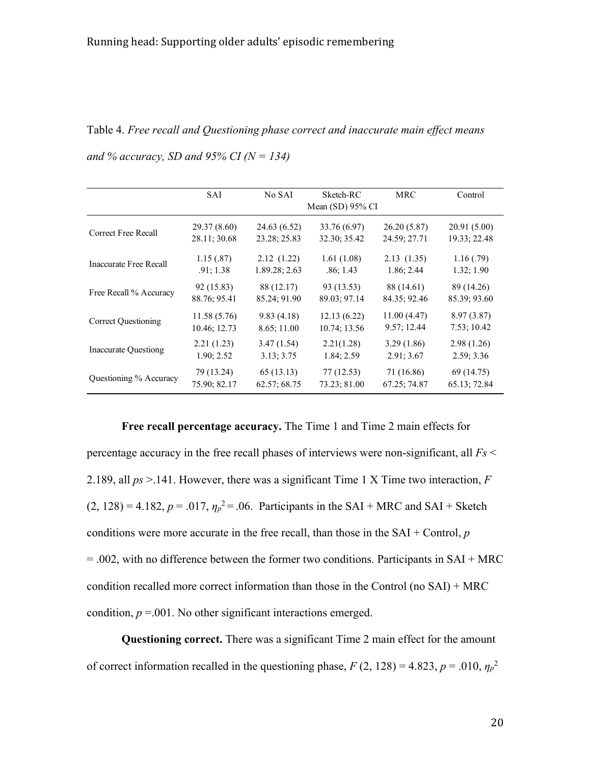Table 4. *Free recall and Questioning phase correct and inaccurate main effect means and % accuracy, SD and 95% CI (N = 134)* 

|                             | SAI          | No SAI        | Sketch-RC<br>Mean $(SD)$ 95% CI | <b>MRC</b>   | Control      |
|-----------------------------|--------------|---------------|---------------------------------|--------------|--------------|
| Correct Free Recall         | 29.37 (8.60) | 24.63 (6.52)  | 33.76 (6.97)                    | 26.20(5.87)  | 20.91(5.00)  |
|                             | 28.11; 30.68 | 23.28; 25.83  | 32.30; 35.42                    | 24.59; 27.71 | 19.33; 22.48 |
| Inaccurate Free Recall      | 1.15(.87)    | 2.12(1.22)    | 1.61(1.08)                      | 2.13(1.35)   | 1.16(0.79)   |
|                             | .91; 1.38    | 1.89.28; 2.63 | .86; 1.43                       | 1.86; 2.44   | 1.32; 1.90   |
| Free Recall % Accuracy      | 92 (15.83)   | 88 (12.17)    | 93 (13.53)                      | 88 (14.61)   | 89 (14.26)   |
|                             | 88.76; 95.41 | 85.24; 91.90  | 89.03; 97.14                    | 84.35; 92.46 | 85.39; 93.60 |
| Correct Questioning         | 11.58(5.76)  | 9.83(4.18)    | 12.13(6.22)                     | 11.00(4.47)  | 8.97(3.87)   |
|                             | 10.46; 12.73 | 8.65; 11.00   | 10.74; 13.56                    | 9.57; 12.44  | 7.53; 10.42  |
| <b>Inaccurate Questiong</b> | 2.21(1.23)   | 3.47(1.54)    | 2.21(1.28)                      | 3.29(1.86)   | 2.98(1.26)   |
|                             | 1.90; 2.52   | 3.13; 3.75    | 1.84; 2.59                      | 2.91; 3.67   | 2.59; 3.36   |
| Questioning % Accuracy      | 79 (13.24)   | 65(13.13)     | 77(12.53)                       | 71 (16.86)   | 69 (14.75)   |
|                             | 75.90; 82.17 | 62.57; 68.75  | 73.23; 81.00                    | 67.25; 74.87 | 65.13; 72.84 |

**Free recall percentage accuracy.** The Time 1 and Time 2 main effects for percentage accuracy in the free recall phases of interviews were non-significant, all *Fs* < 2.189, all *ps* >.141. However, there was a significant Time 1 X Time two interaction, *F*  $(2, 128) = 4.182, p = .017, \eta_p^2 = .06$ . Participants in the SAI + MRC and SAI + Sketch conditions were more accurate in the free recall, than those in the  $SAI + Control, p$  $= .002$ , with no difference between the former two conditions. Participants in SAI + MRC condition recalled more correct information than those in the Control (no SAI) + MRC condition,  $p = 0.01$ . No other significant interactions emerged.

**Questioning correct.** There was a significant Time 2 main effect for the amount of correct information recalled in the questioning phase,  $F(2, 128) = 4.823$ ,  $p = .010$ ,  $\eta_p^2$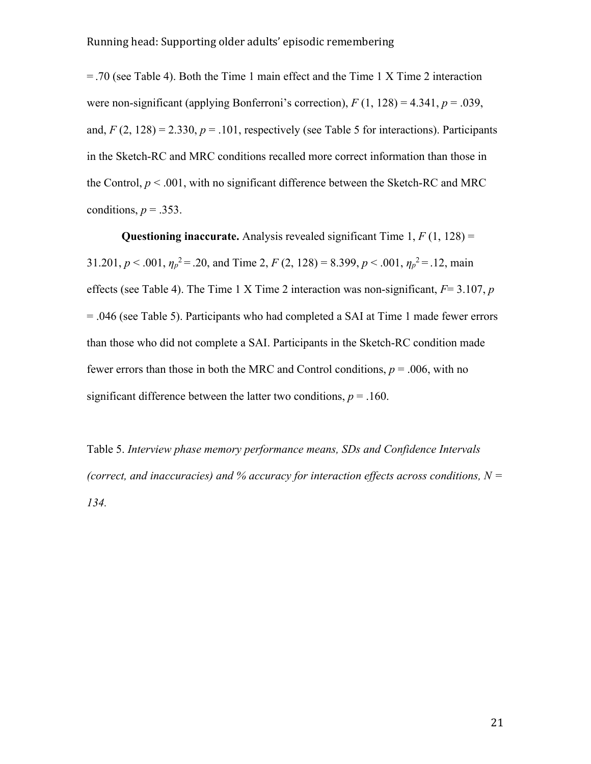= .70 (see Table 4). Both the Time 1 main effect and the Time 1 X Time 2 interaction were non-significant (applying Bonferroni's correction),  $F(1, 128) = 4.341$ ,  $p = .039$ , and,  $F(2, 128) = 2.330$ ,  $p = .101$ , respectively (see Table 5 for interactions). Participants in the Sketch-RC and MRC conditions recalled more correct information than those in the Control,  $p < .001$ , with no significant difference between the Sketch-RC and MRC conditions,  $p = .353$ .

**Questioning inaccurate.** Analysis revealed significant Time  $1, F(1, 128) =$ 31.201,  $p < .001$ ,  $\eta_p^2 = .20$ , and Time 2,  $F(2, 128) = 8.399$ ,  $p < .001$ ,  $\eta_p^2 = .12$ , main effects (see Table 4). The Time 1 X Time 2 interaction was non-significant, *F*= 3.107, *p* = .046 (see Table 5). Participants who had completed a SAI at Time 1 made fewer errors than those who did not complete a SAI. Participants in the Sketch-RC condition made fewer errors than those in both the MRC and Control conditions,  $p = .006$ , with no significant difference between the latter two conditions,  $p = .160$ .

Table 5. *Interview phase memory performance means, SDs and Confidence Intervals (correct, and inaccuracies) and % accuracy for interaction effects across conditions,*  $N =$ *134.*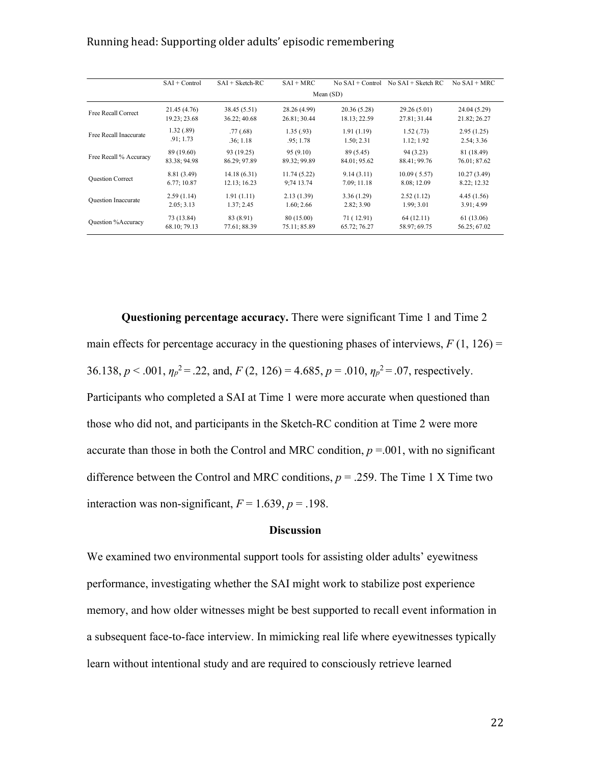|                            | $SAI + Control$ | $SAI + Sketch-RC$ | $SAI + MRC$  | $No SAI + Control$ | $No SAI + Sketch RC$ | $No SAI + MRC$ |  |
|----------------------------|-----------------|-------------------|--------------|--------------------|----------------------|----------------|--|
|                            | Mean(SD)        |                   |              |                    |                      |                |  |
| Free Recall Correct        | 21.45 (4.76)    | 38.45 (5.51)      | 28.26 (4.99) | 20.36(5.28)        | 29.26 (5.01)         | 24.04 (5.29)   |  |
|                            | 19.23; 23.68    | 36.22; 40.68      | 26.81; 30.44 | 18.13; 22.59       | 27.81; 31.44         | 21.82; 26.27   |  |
| Free Recall Inaccurate     | 1.32(0.89)      | .77(0.68)         | 1.35(0.93)   | 1.91(1.19)         | 1.52(0.73)           | 2.95(1.25)     |  |
|                            | .91; 1.73       | .36:1.18          | .95:1.78     | 1.50; 2.31         | 1.12; 1.92           | 2.54; 3.36     |  |
| Free Recall % Accuracy     | 89 (19.60)      | 93 (19.25)        | 95(9.10)     | 89 (5.45)          | 94 (3.23)            | 81 (18.49)     |  |
|                            | 83.38; 94.98    | 86.29: 97.89      | 89.32; 99.89 | 84.01; 95.62       | 88.41; 99.76         | 76.01; 87.62   |  |
| <b>Question Correct</b>    | 8.81 (3.49)     | 14.18(6.31)       | 11.74(5.22)  | 9.14(3.11)         | 10.09(5.57)          | 10.27(3.49)    |  |
|                            | 6.77; 10.87     | 12.13; 16.23      | 9:74 13.74   | 7.09; 11.18        | 8.08; 12.09          | 8.22; 12.32    |  |
| <b>Ouestion Inaccurate</b> | 2.59(1.14)      | 1.91(1.11)        | 2.13(1.39)   | 3.36(1.29)         | 2.52(1.12)           | 4.45(1.56)     |  |
|                            | 2.05:3.13       | 1.37; 2.45        | 1.60; 2.66   | 2.82; 3.90         | 1.99; 3.01           | 3.91; 4.99     |  |
| Question %Accuracy         | 73 (13.84)      | 83 (8.91)         | 80 (15.00)   | 71 (12.91)         | 64(12.11)            | 61 (13.06)     |  |
|                            | 68.10; 79.13    | 77.61; 88.39      | 75.11; 85.89 | 65.72; 76.27       | 58.97; 69.75         | 56.25; 67.02   |  |

**Questioning percentage accuracy.** There were significant Time 1 and Time 2 main effects for percentage accuracy in the questioning phases of interviews,  $F(1, 126) =$ 36.138,  $p < .001$ ,  $\eta_p^2 = .22$ , and,  $F(2, 126) = 4.685$ ,  $p = .010$ ,  $\eta_p^2 = .07$ , respectively. Participants who completed a SAI at Time 1 were more accurate when questioned than those who did not, and participants in the Sketch-RC condition at Time 2 were more accurate than those in both the Control and MRC condition,  $p = 0.001$ , with no significant difference between the Control and MRC conditions,  $p = .259$ . The Time 1 X Time two interaction was non-significant,  $F = 1.639$ ,  $p = .198$ .

#### **Discussion**

We examined two environmental support tools for assisting older adults' eyewitness performance, investigating whether the SAI might work to stabilize post experience memory, and how older witnesses might be best supported to recall event information in a subsequent face-to-face interview. In mimicking real life where eyewitnesses typically learn without intentional study and are required to consciously retrieve learned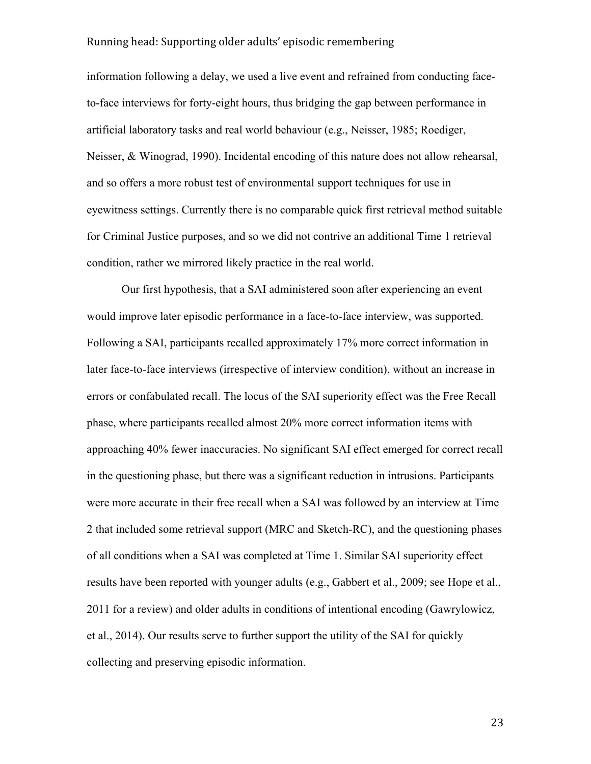information following a delay, we used a live event and refrained from conducting faceto-face interviews for forty-eight hours, thus bridging the gap between performance in artificial laboratory tasks and real world behaviour (e.g., Neisser, 1985; Roediger, Neisser, & Winograd, 1990). Incidental encoding of this nature does not allow rehearsal, and so offers a more robust test of environmental support techniques for use in eyewitness settings. Currently there is no comparable quick first retrieval method suitable for Criminal Justice purposes, and so we did not contrive an additional Time 1 retrieval condition, rather we mirrored likely practice in the real world.

Our first hypothesis, that a SAI administered soon after experiencing an event would improve later episodic performance in a face-to-face interview, was supported. Following a SAI, participants recalled approximately 17% more correct information in later face-to-face interviews (irrespective of interview condition), without an increase in errors or confabulated recall. The locus of the SAI superiority effect was the Free Recall phase, where participants recalled almost 20% more correct information items with approaching 40% fewer inaccuracies. No significant SAI effect emerged for correct recall in the questioning phase, but there was a significant reduction in intrusions. Participants were more accurate in their free recall when a SAI was followed by an interview at Time 2 that included some retrieval support (MRC and Sketch-RC), and the questioning phases of all conditions when a SAI was completed at Time 1. Similar SAI superiority effect results have been reported with younger adults (e.g., Gabbert et al., 2009; see Hope et al., 2011 for a review) and older adults in conditions of intentional encoding (Gawrylowicz, et al., 2014). Our results serve to further support the utility of the SAI for quickly collecting and preserving episodic information.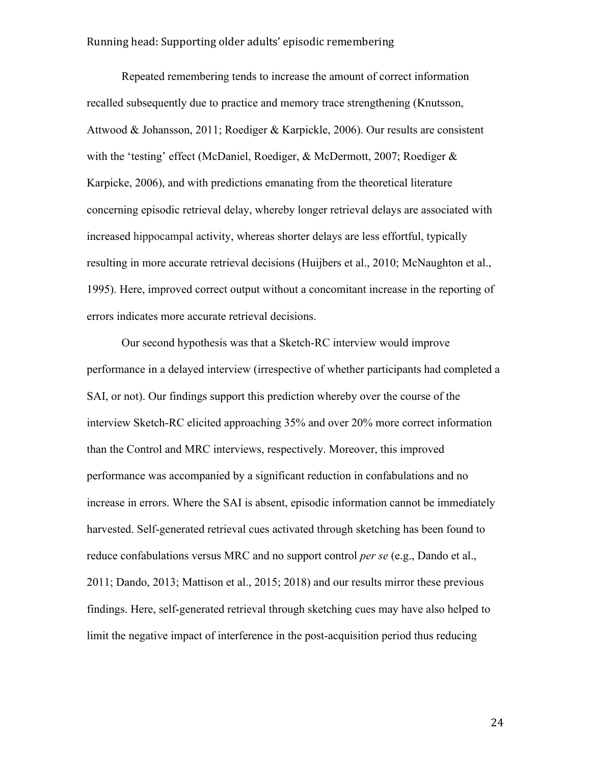Repeated remembering tends to increase the amount of correct information recalled subsequently due to practice and memory trace strengthening (Knutsson, Attwood & Johansson, 2011; Roediger & Karpickle, 2006). Our results are consistent with the 'testing' effect (McDaniel, Roediger, & McDermott, 2007; Roediger & Karpicke, 2006), and with predictions emanating from the theoretical literature concerning episodic retrieval delay, whereby longer retrieval delays are associated with increased hippocampal activity, whereas shorter delays are less effortful, typically resulting in more accurate retrieval decisions (Huijbers et al., 2010; McNaughton et al., 1995). Here, improved correct output without a concomitant increase in the reporting of errors indicates more accurate retrieval decisions.

Our second hypothesis was that a Sketch-RC interview would improve performance in a delayed interview (irrespective of whether participants had completed a SAI, or not). Our findings support this prediction whereby over the course of the interview Sketch-RC elicited approaching 35% and over 20% more correct information than the Control and MRC interviews, respectively. Moreover, this improved performance was accompanied by a significant reduction in confabulations and no increase in errors. Where the SAI is absent, episodic information cannot be immediately harvested. Self-generated retrieval cues activated through sketching has been found to reduce confabulations versus MRC and no support control *per se* (e.g., Dando et al., 2011; Dando, 2013; Mattison et al., 2015; 2018) and our results mirror these previous findings. Here, self-generated retrieval through sketching cues may have also helped to limit the negative impact of interference in the post-acquisition period thus reducing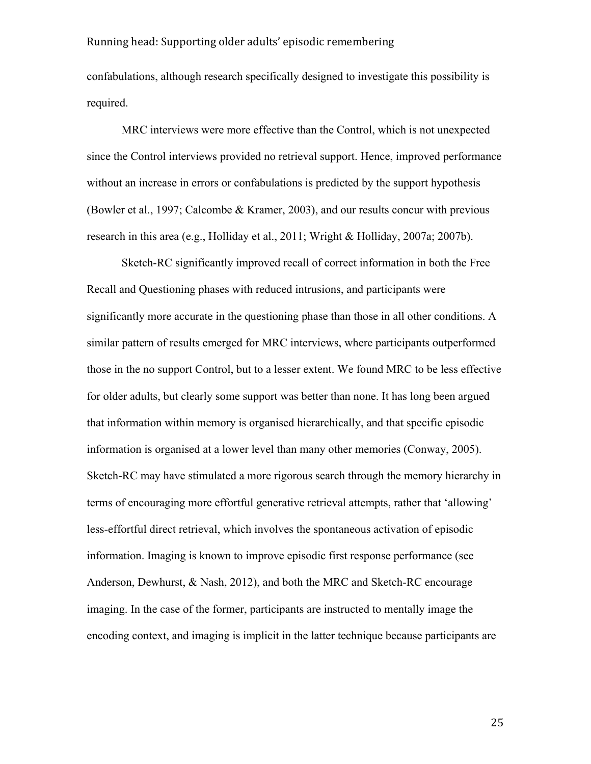confabulations, although research specifically designed to investigate this possibility is required.

MRC interviews were more effective than the Control, which is not unexpected since the Control interviews provided no retrieval support. Hence, improved performance without an increase in errors or confabulations is predicted by the support hypothesis (Bowler et al., 1997; Calcombe & Kramer, 2003), and our results concur with previous research in this area (e.g., Holliday et al., 2011; Wright & Holliday, 2007a; 2007b).

Sketch-RC significantly improved recall of correct information in both the Free Recall and Questioning phases with reduced intrusions, and participants were significantly more accurate in the questioning phase than those in all other conditions. A similar pattern of results emerged for MRC interviews, where participants outperformed those in the no support Control, but to a lesser extent. We found MRC to be less effective for older adults, but clearly some support was better than none. It has long been argued that information within memory is organised hierarchically, and that specific episodic information is organised at a lower level than many other memories (Conway, 2005). Sketch-RC may have stimulated a more rigorous search through the memory hierarchy in terms of encouraging more effortful generative retrieval attempts, rather that 'allowing' less-effortful direct retrieval, which involves the spontaneous activation of episodic information. Imaging is known to improve episodic first response performance (see Anderson, Dewhurst, & Nash, 2012), and both the MRC and Sketch-RC encourage imaging. In the case of the former, participants are instructed to mentally image the encoding context, and imaging is implicit in the latter technique because participants are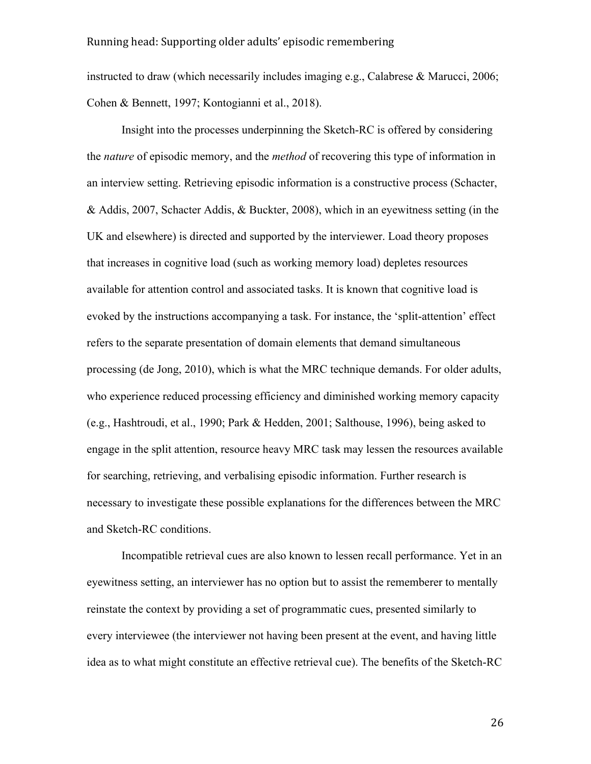instructed to draw (which necessarily includes imaging e.g., Calabrese & Marucci, 2006; Cohen & Bennett, 1997; Kontogianni et al., 2018).

Insight into the processes underpinning the Sketch-RC is offered by considering the *nature* of episodic memory, and the *method* of recovering this type of information in an interview setting. Retrieving episodic information is a constructive process (Schacter, & Addis, 2007, Schacter Addis, & Buckter, 2008), which in an eyewitness setting (in the UK and elsewhere) is directed and supported by the interviewer. Load theory proposes that increases in cognitive load (such as working memory load) depletes resources available for attention control and associated tasks. It is known that cognitive load is evoked by the instructions accompanying a task. For instance, the 'split-attention' effect refers to the separate presentation of domain elements that demand simultaneous processing (de Jong, 2010), which is what the MRC technique demands. For older adults, who experience reduced processing efficiency and diminished working memory capacity (e.g., Hashtroudi, et al., 1990; Park & Hedden, 2001; Salthouse, 1996), being asked to engage in the split attention, resource heavy MRC task may lessen the resources available for searching, retrieving, and verbalising episodic information. Further research is necessary to investigate these possible explanations for the differences between the MRC and Sketch-RC conditions.

Incompatible retrieval cues are also known to lessen recall performance. Yet in an eyewitness setting, an interviewer has no option but to assist the rememberer to mentally reinstate the context by providing a set of programmatic cues, presented similarly to every interviewee (the interviewer not having been present at the event, and having little idea as to what might constitute an effective retrieval cue). The benefits of the Sketch-RC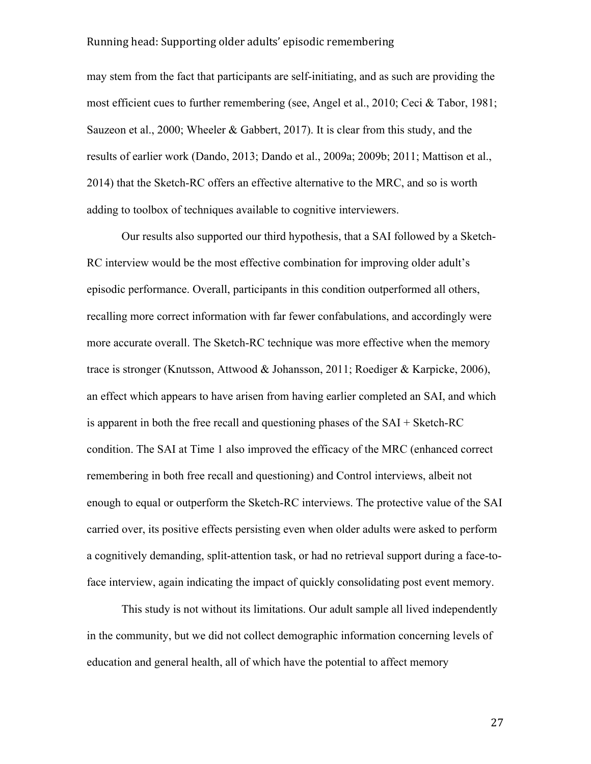may stem from the fact that participants are self-initiating, and as such are providing the most efficient cues to further remembering (see, Angel et al., 2010; Ceci & Tabor, 1981; Sauzeon et al., 2000; Wheeler & Gabbert, 2017). It is clear from this study, and the results of earlier work (Dando, 2013; Dando et al., 2009a; 2009b; 2011; Mattison et al., 2014) that the Sketch-RC offers an effective alternative to the MRC, and so is worth adding to toolbox of techniques available to cognitive interviewers.

Our results also supported our third hypothesis, that a SAI followed by a Sketch-RC interview would be the most effective combination for improving older adult's episodic performance. Overall, participants in this condition outperformed all others, recalling more correct information with far fewer confabulations, and accordingly were more accurate overall. The Sketch-RC technique was more effective when the memory trace is stronger (Knutsson, Attwood & Johansson, 2011; Roediger & Karpicke, 2006), an effect which appears to have arisen from having earlier completed an SAI, and which is apparent in both the free recall and questioning phases of the SAI + Sketch-RC condition. The SAI at Time 1 also improved the efficacy of the MRC (enhanced correct remembering in both free recall and questioning) and Control interviews, albeit not enough to equal or outperform the Sketch-RC interviews. The protective value of the SAI carried over, its positive effects persisting even when older adults were asked to perform a cognitively demanding, split-attention task, or had no retrieval support during a face-toface interview, again indicating the impact of quickly consolidating post event memory.

This study is not without its limitations. Our adult sample all lived independently in the community, but we did not collect demographic information concerning levels of education and general health, all of which have the potential to affect memory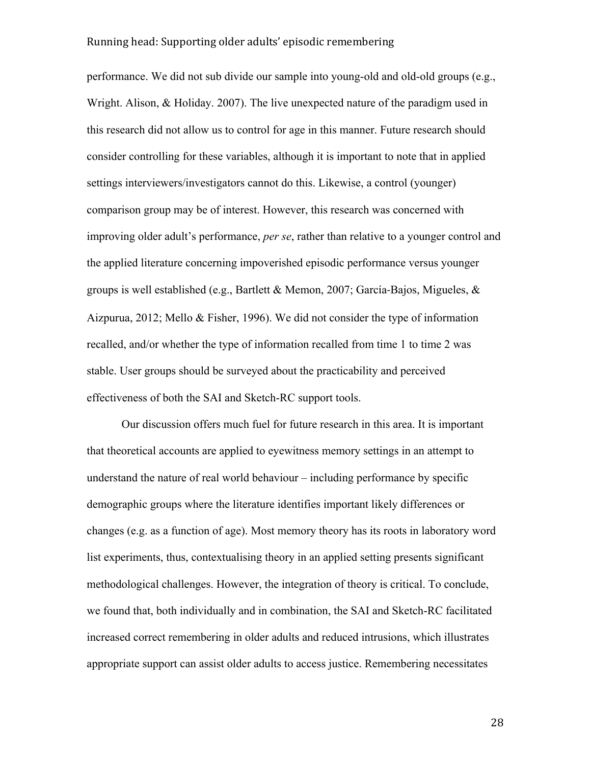performance. We did not sub divide our sample into young-old and old-old groups (e.g., Wright. Alison, & Holiday. 2007). The live unexpected nature of the paradigm used in this research did not allow us to control for age in this manner. Future research should consider controlling for these variables, although it is important to note that in applied settings interviewers/investigators cannot do this. Likewise, a control (younger) comparison group may be of interest. However, this research was concerned with improving older adult's performance, *per se*, rather than relative to a younger control and the applied literature concerning impoverished episodic performance versus younger groups is well established (e.g., Bartlett & Memon, 2007; García-Bajos, Migueles, & Aizpurua, 2012; Mello & Fisher, 1996). We did not consider the type of information recalled, and/or whether the type of information recalled from time 1 to time 2 was stable. User groups should be surveyed about the practicability and perceived effectiveness of both the SAI and Sketch-RC support tools.

Our discussion offers much fuel for future research in this area. It is important that theoretical accounts are applied to eyewitness memory settings in an attempt to understand the nature of real world behaviour – including performance by specific demographic groups where the literature identifies important likely differences or changes (e.g. as a function of age). Most memory theory has its roots in laboratory word list experiments, thus, contextualising theory in an applied setting presents significant methodological challenges. However, the integration of theory is critical. To conclude, we found that, both individually and in combination, the SAI and Sketch-RC facilitated increased correct remembering in older adults and reduced intrusions, which illustrates appropriate support can assist older adults to access justice. Remembering necessitates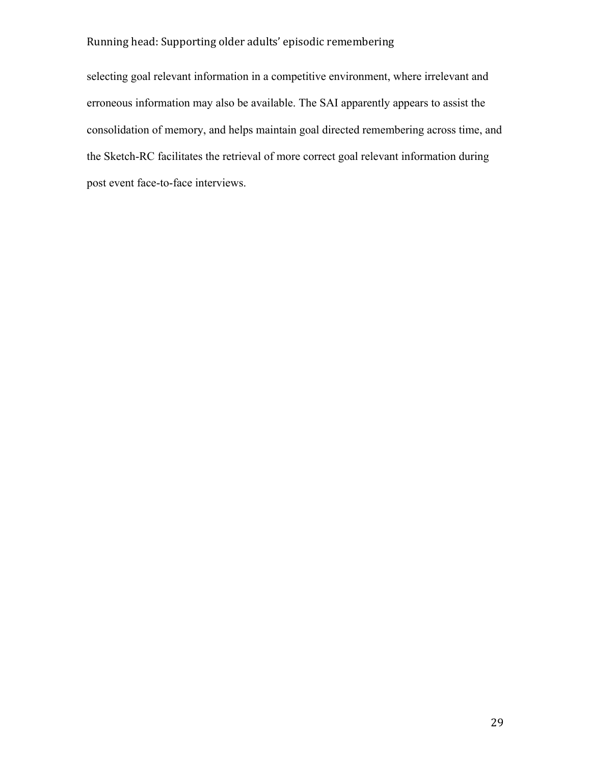selecting goal relevant information in a competitive environment, where irrelevant and erroneous information may also be available. The SAI apparently appears to assist the consolidation of memory, and helps maintain goal directed remembering across time, and the Sketch-RC facilitates the retrieval of more correct goal relevant information during post event face-to-face interviews.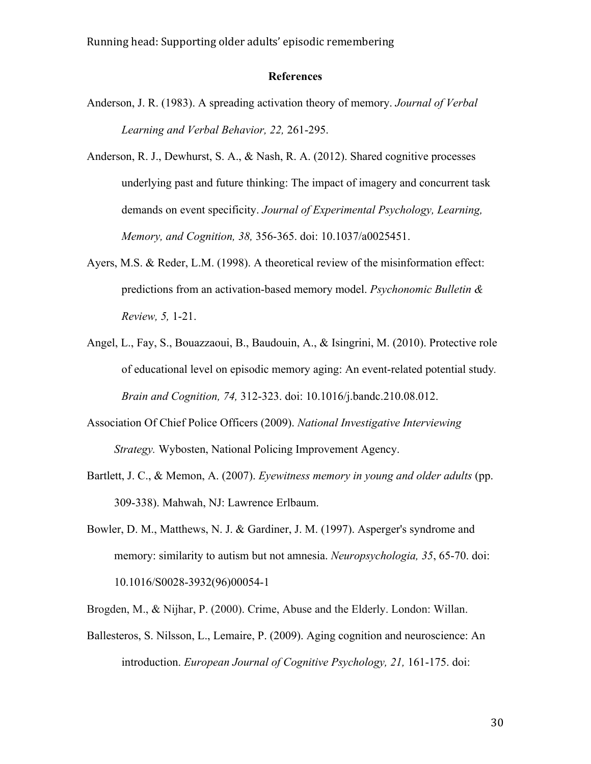# **References**

- Anderson, J. R. (1983). A spreading activation theory of memory. *Journal of Verbal Learning and Verbal Behavior, 22,* 261-295.
- Anderson, R. J., Dewhurst, S. A., & Nash, R. A. (2012). Shared cognitive processes underlying past and future thinking: The impact of imagery and concurrent task demands on event specificity. *Journal of Experimental Psychology, Learning, Memory, and Cognition, 38,* 356-365. doi: 10.1037/a0025451.
- Ayers, M.S. & Reder, L.M. (1998). A theoretical review of the misinformation effect: predictions from an activation-based memory model. *Psychonomic Bulletin & Review, 5,* 1-21.
- Angel, L., Fay, S., Bouazzaoui, B., Baudouin, A., & Isingrini, M. (2010). Protective role of educational level on episodic memory aging: An event-related potential study*. Brain and Cognition, 74,* 312-323. doi: 10.1016/j.bandc.210.08.012.
- Association Of Chief Police Officers (2009). *National Investigative Interviewing Strategy.* Wybosten, National Policing Improvement Agency.
- Bartlett, J. C., & Memon, A. (2007). *Eyewitness memory in young and older adults* (pp. 309-338). Mahwah, NJ: Lawrence Erlbaum.
- Bowler, D. M., Matthews, N. J. & Gardiner, J. M. (1997). Asperger's syndrome and memory: similarity to autism but not amnesia. *Neuropsychologia, 35*, 65-70. doi: 10.1016/S0028-3932(96)00054-1
- Brogden, M., & Nijhar, P. (2000). Crime, Abuse and the Elderly. London: Willan.
- Ballesteros, S. Nilsson, L., Lemaire, P. (2009). Aging cognition and neuroscience: An introduction. *European Journal of Cognitive Psychology, 21,* 161-175. doi: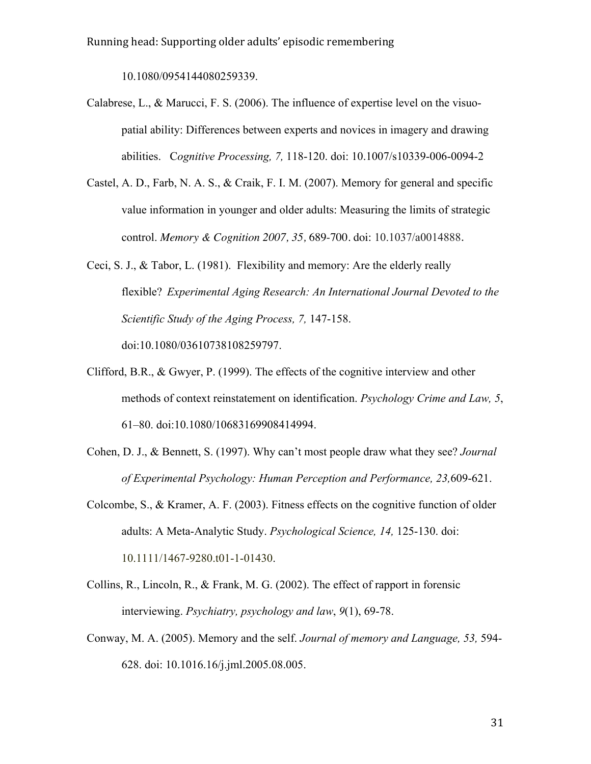10.1080/0954144080259339.

- Calabrese, L., & Marucci, F. S. (2006). The influence of expertise level on the visuopatial ability: Differences between experts and novices in imagery and drawing abilities. C*ognitive Processing, 7,* 118-120. doi: 10.1007/s10339-006-0094-2
- Castel, A. D., Farb, N. A. S., & Craik, F. I. M. (2007). Memory for general and specific value information in younger and older adults: Measuring the limits of strategic control. *Memory & Cognition 2007, 35,* 689-700. doi: 10.1037/a0014888.
- Ceci, S. J., & Tabor, L. (1981). Flexibility and memory: Are the elderly really flexible? *Experimental Aging Research: An International Journal Devoted to the Scientific Study of the Aging Process, 7,* 147-158. doi:10.1080/03610738108259797.
- Clifford, B.R., & Gwyer, P. (1999). The effects of the cognitive interview and other methods of context reinstatement on identification. *Psychology Crime and Law, 5*, 61–80. doi:10.1080/10683169908414994.
- Cohen, D. J., & Bennett, S. (1997). Why can't most people draw what they see? *Journal of Experimental Psychology: Human Perception and Performance, 23,*609-621.
- Colcombe, S., & Kramer, A. F. (2003). Fitness effects on the cognitive function of older adults: A Meta-Analytic Study. *Psychological Science, 14,* 125-130. doi: 10.1111/1467-9280.t01-1-01430.
- Collins, R., Lincoln, R., & Frank, M. G. (2002). The effect of rapport in forensic interviewing. *Psychiatry, psychology and law*, *9*(1), 69-78.
- Conway, M. A. (2005). Memory and the self. *Journal of memory and Language, 53,* 594- 628. doi: 10.1016.16/j.jml.2005.08.005.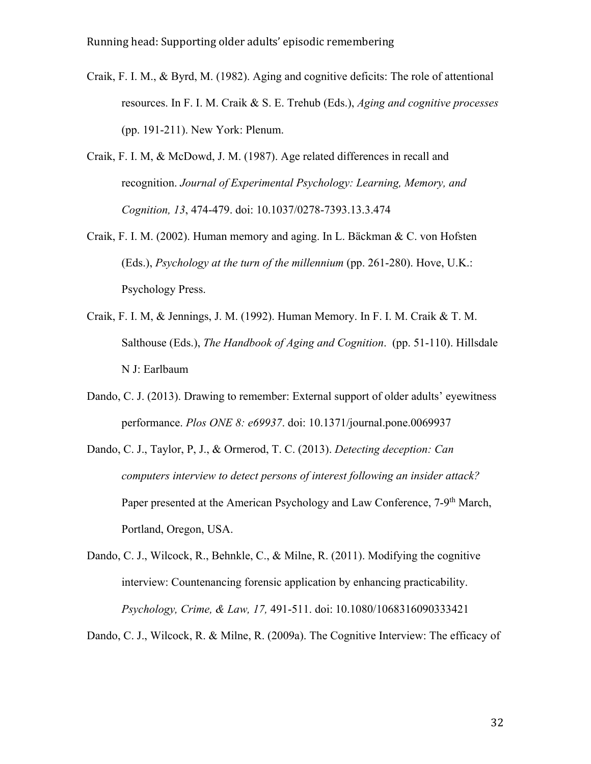- Craik, F. I. M., & Byrd, M. (1982). Aging and cognitive deficits: The role of attentional resources. In F. I. M. Craik & S. E. Trehub (Eds.), *Aging and cognitive processes*  (pp. 191-211). New York: Plenum.
- Craik, F. I. M, & McDowd, J. M. (1987). Age related differences in recall and recognition. *Journal of Experimental Psychology: Learning, Memory, and Cognition, 13*, 474-479. doi: 10.1037/0278-7393.13.3.474
- Craik, F. I. M. (2002). Human memory and aging. In L. Bäckman & C. von Hofsten (Eds.), *Psychology at the turn of the millennium* (pp. 261-280). Hove, U.K.: Psychology Press.
- Craik, F. I. M, & Jennings, J. M. (1992). Human Memory. In F. I. M. Craik & T. M. Salthouse (Eds.), *The Handbook of Aging and Cognition*. (pp. 51-110). Hillsdale N J: Earlbaum
- Dando, C. J. (2013). Drawing to remember: External support of older adults' eyewitness performance. *Plos ONE 8: e69937*. doi: 10.1371/journal.pone.0069937
- Dando, C. J., Taylor, P, J., & Ormerod, T. C. (2013). *Detecting deception: Can computers interview to detect persons of interest following an insider attack?*  Paper presented at the American Psychology and Law Conference, 7-9<sup>th</sup> March, Portland, Oregon, USA.
- Dando, C. J., Wilcock, R., Behnkle, C., & Milne, R. (2011). Modifying the cognitive interview: Countenancing forensic application by enhancing practicability. *Psychology, Crime, & Law, 17,* 491-511. doi: 10.1080/1068316090333421

Dando, C. J., Wilcock, R. & Milne, R. (2009a). The Cognitive Interview: The efficacy of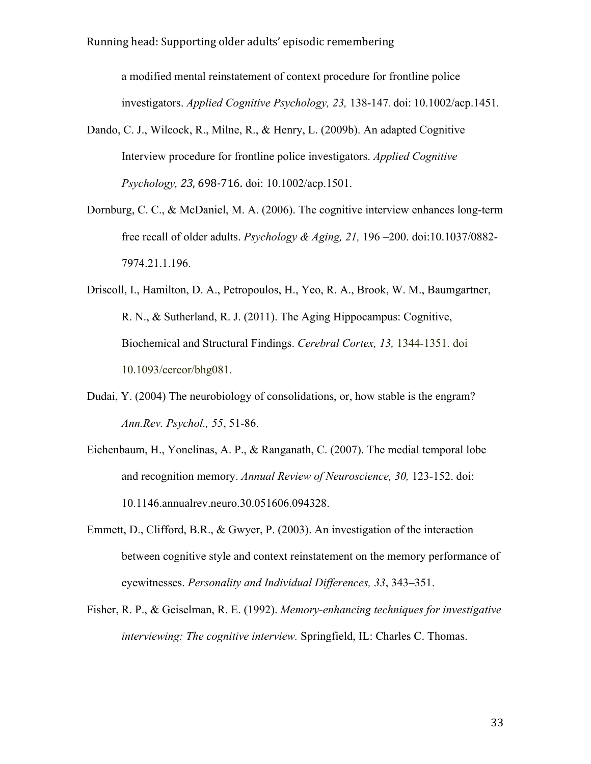a modified mental reinstatement of context procedure for frontline police investigators. *Applied Cognitive Psychology, 23,* 138-147. doi: 10.1002/acp.1451*.*

- Dando, C. J., Wilcock, R., Milne, R., & Henry, L. (2009b). An adapted Cognitive Interview procedure for frontline police investigators. *Applied Cognitive Psychology, 23*, 698-716. doi: 10.1002/acp.1501.
- Dornburg, C. C., & McDaniel, M. A. (2006). The cognitive interview enhances long-term free recall of older adults. *Psychology & Aging, 21,* 196 –200. doi:10.1037/0882- 7974.21.1.196.
- Driscoll, I., Hamilton, D. A., Petropoulos, H., Yeo, R. A., Brook, W. M., Baumgartner, R. N., & Sutherland, R. J. (2011). The Aging Hippocampus: Cognitive, Biochemical and Structural Findings. *Cerebral Cortex, 13,* 1344-1351. doi 10.1093/cercor/bhg081.
- Dudai, Y. (2004) The neurobiology of consolidations, or, how stable is the engram? *Ann.Rev. Psychol., 55*, 51-86.
- Eichenbaum, H., Yonelinas, A. P., & Ranganath, C. (2007). The medial temporal lobe and recognition memory. *Annual Review of Neuroscience, 30,* 123-152. doi: 10.1146.annualrev.neuro.30.051606.094328.
- Emmett, D., Clifford, B.R., & Gwyer, P. (2003). An investigation of the interaction between cognitive style and context reinstatement on the memory performance of eyewitnesses. *Personality and Individual Differences, 33*, 343–351.
- Fisher, R. P., & Geiselman, R. E. (1992). *Memory-enhancing techniques for investigative interviewing: The cognitive interview.* Springfield, IL: Charles C. Thomas.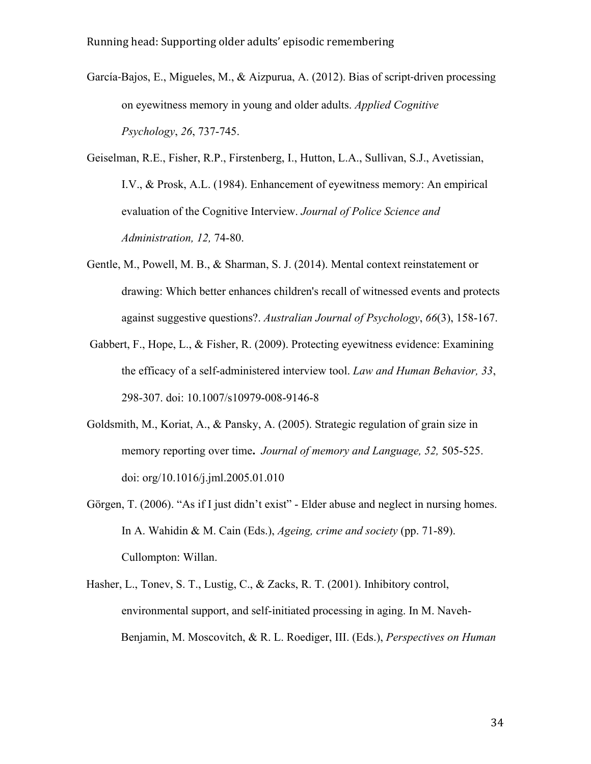- García-Bajos, E., Migueles, M., & Aizpurua, A. (2012). Bias of script-driven processing on eyewitness memory in young and older adults. *Applied Cognitive Psychology*, *26*, 737-745.
- Geiselman, R.E., Fisher, R.P., Firstenberg, I., Hutton, L.A., Sullivan, S.J., Avetissian, I.V., & Prosk, A.L. (1984). Enhancement of eyewitness memory: An empirical evaluation of the Cognitive Interview. *Journal of Police Science and Administration, 12,* 74-80.
- Gentle, M., Powell, M. B., & Sharman, S. J. (2014). Mental context reinstatement or drawing: Which better enhances children's recall of witnessed events and protects against suggestive questions?. *Australian Journal of Psychology*, *66*(3), 158-167.
- Gabbert, F., Hope, L., & Fisher, R. (2009). Protecting eyewitness evidence: Examining the efficacy of a self-administered interview tool. *Law and Human Behavior, 33*, 298-307. doi: 10.1007/s10979-008-9146-8
- Goldsmith, M., Koriat, A., & Pansky, A. (2005). Strategic regulation of grain size in memory reporting over time**.** *Journal of memory and Language, 52,* 505-525. doi: org/10.1016/j.jml.2005.01.010
- Görgen, T. (2006). "As if I just didn't exist" Elder abuse and neglect in nursing homes. In A. Wahidin & M. Cain (Eds.), *Ageing, crime and society* (pp. 71-89). Cullompton: Willan.
- Hasher, L., Tonev, S. T., Lustig, C., & Zacks, R. T. (2001). Inhibitory control, environmental support, and self-initiated processing in aging. In M. Naveh-Benjamin, M. Moscovitch, & R. L. Roediger, III. (Eds.), *Perspectives on Human*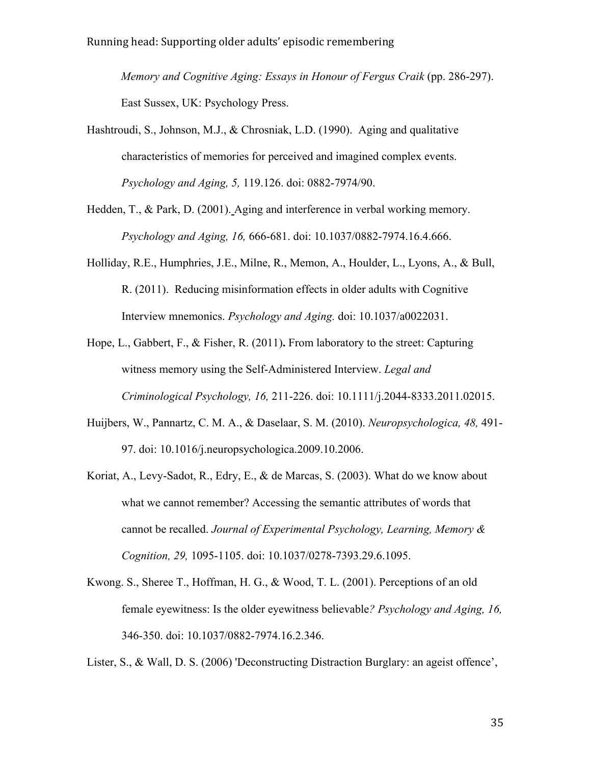*Memory and Cognitive Aging: Essays in Honour of Fergus Craik (pp. 286-297).* East Sussex, UK: Psychology Press.

- Hashtroudi, S., Johnson, M.J., & Chrosniak, L.D. (1990). Aging and qualitative characteristics of memories for perceived and imagined complex events. *Psychology and Aging, 5,* 119.126. doi: 0882-7974/90.
- Hedden, T., & Park, D. (2001). Aging and interference in verbal working memory. *Psychology and Aging, 16,* 666-681. doi: 10.1037/0882-7974.16.4.666.
- Holliday, R.E., Humphries, J.E., Milne, R., Memon, A., Houlder, L., Lyons, A., & Bull, R. (2011). Reducing misinformation effects in older adults with Cognitive Interview mnemonics. *Psychology and Aging.* doi: 10.1037/a0022031.
- Hope, L., Gabbert, F., & Fisher, R. (2011)**.** From laboratory to the street: Capturing witness memory using the Self-Administered Interview. *Legal and Criminological Psychology, 16,* 211-226. doi: 10.1111/j.2044-8333.2011.02015.
- Huijbers, W., Pannartz, C. M. A., & Daselaar, S. M. (2010). *Neuropsychologica, 48,* 491- 97. doi: 10.1016/j.neuropsychologica.2009.10.2006.
- Koriat, A., Levy-Sadot, R., Edry, E., & de Marcas, S. (2003). What do we know about what we cannot remember? Accessing the semantic attributes of words that cannot be recalled. *Journal of Experimental Psychology, Learning, Memory & Cognition, 29,* 1095-1105. doi: 10.1037/0278-7393.29.6.1095.
- Kwong. S., Sheree T., Hoffman, H. G., & Wood, T. L. (2001). Perceptions of an old female eyewitness: Is the older eyewitness believable*? Psychology and Aging, 16,* 346-350. doi: 10.1037/0882-7974.16.2.346.

Lister, S., & Wall, D. S. (2006) 'Deconstructing Distraction Burglary: an ageist offence',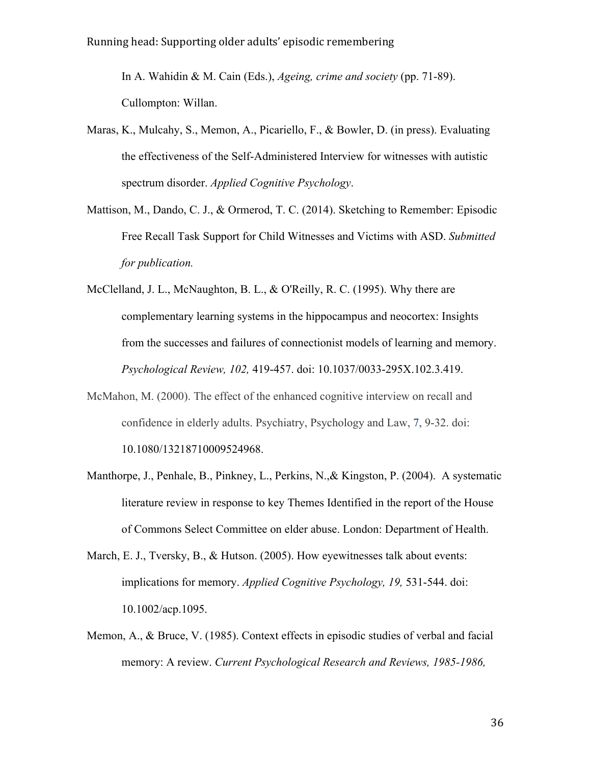In A. Wahidin & M. Cain (Eds.), *Ageing, crime and society* (pp. 71-89). Cullompton: Willan.

- Maras, K., Mulcahy, S., Memon, A., Picariello, F., & Bowler, D. (in press). Evaluating the effectiveness of the Self-Administered Interview for witnesses with autistic spectrum disorder. *Applied Cognitive Psychology*.
- Mattison, M., Dando, C. J., & Ormerod, T. C. (2014). Sketching to Remember: Episodic Free Recall Task Support for Child Witnesses and Victims with ASD. *Submitted for publication.*
- McClelland, J. L., McNaughton, B. L., & O'Reilly, R. C. (1995). Why there are complementary learning systems in the hippocampus and neocortex: Insights from the successes and failures of connectionist models of learning and memory. *Psychological Review, 102,* 419-457. doi: 10.1037/0033-295X.102.3.419.
- McMahon, M. (2000). The effect of the enhanced cognitive interview on recall and confidence in elderly adults. Psychiatry, Psychology and Law, 7, 9-32. doi: 10.1080/13218710009524968.
- Manthorpe, J., Penhale, B., Pinkney, L., Perkins, N.,& Kingston, P. (2004). A systematic literature review in response to key Themes Identified in the report of the House of Commons Select Committee on elder abuse. London: Department of Health.
- March, E. J., Tversky, B., & Hutson. (2005). How eyewitnesses talk about events: implications for memory. *Applied Cognitive Psychology, 19,* 531-544. doi: 10.1002/acp.1095.
- Memon, A., & Bruce, V. (1985). Context effects in episodic studies of verbal and facial memory: A review. *Current Psychological Research and Reviews, 1985-1986,*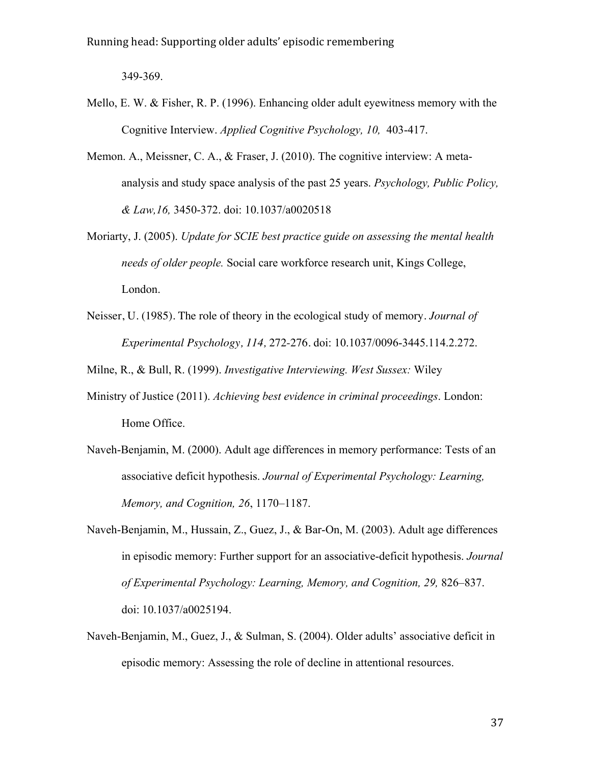349-369.

- Mello, E. W. & Fisher, R. P. (1996). Enhancing older adult eyewitness memory with the Cognitive Interview. *Applied Cognitive Psychology, 10,* 403-417.
- Memon. A., Meissner, C. A., & Fraser, J. (2010). The cognitive interview: A metaanalysis and study space analysis of the past 25 years. *Psychology, Public Policy, & Law,16,* 3450-372. doi: 10.1037/a0020518
- Moriarty, J. (2005). *Update for SCIE best practice guide on assessing the mental health needs of older people.* Social care workforce research unit, Kings College, London.
- Neisser, U. (1985). The role of theory in the ecological study of memory. *Journal of Experimental Psychology, 114,* 272-276. doi: 10.1037/0096-3445.114.2.272.

Milne, R., & Bull, R. (1999). *Investigative Interviewing. West Sussex:* Wiley

- Ministry of Justice (2011). *Achieving best evidence in criminal proceedings*. London: Home Office.
- Naveh-Benjamin, M. (2000). Adult age differences in memory performance: Tests of an associative deficit hypothesis. *Journal of Experimental Psychology: Learning, Memory, and Cognition, 26*, 1170–1187.
- Naveh-Benjamin, M., Hussain, Z., Guez, J., & Bar-On, M. (2003). Adult age differences in episodic memory: Further support for an associative-deficit hypothesis. *Journal of Experimental Psychology: Learning, Memory, and Cognition, 29,* 826–837. doi: 10.1037/a0025194.
- Naveh-Benjamin, M., Guez, J., & Sulman, S. (2004). Older adults' associative deficit in episodic memory: Assessing the role of decline in attentional resources.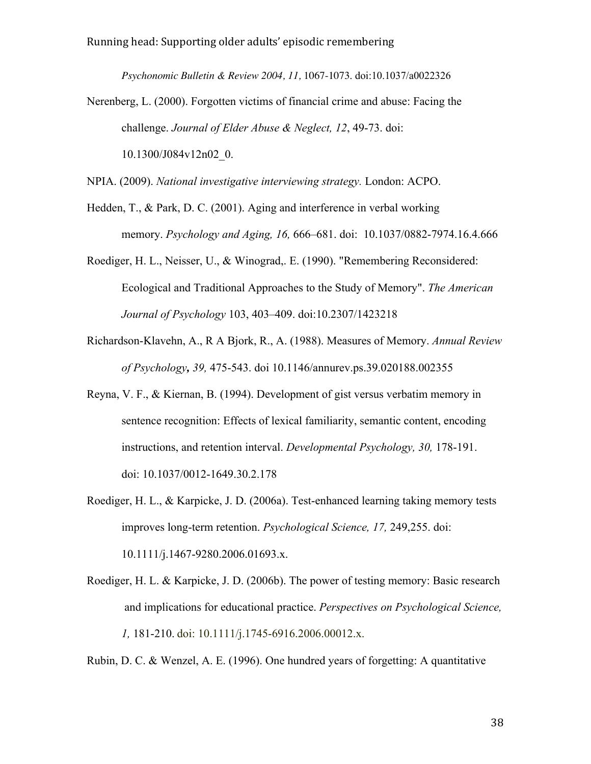*Psychonomic Bulletin & Review 2004, 11,* 1067-1073. doi:10.1037/a0022326

Nerenberg, L. (2000). Forgotten victims of financial crime and abuse: Facing the challenge. *Journal of Elder Abuse & Neglect, 12*, 49-73. doi: 10.1300/J084v12n02\_0.

NPIA. (2009). *National investigative interviewing strategy.* London: ACPO.

- Hedden, T., & Park, D. C. (2001). Aging and interference in verbal working memory. *Psychology and Aging, 16,* 666–681. doi: 10.1037/0882-7974.16.4.666
- Roediger, H. L., Neisser, U., & Winograd,. E. (1990). "Remembering Reconsidered: Ecological and Traditional Approaches to the Study of Memory". *The American Journal of Psychology* 103, 403–409. doi:10.2307/1423218
- Richardson-Klavehn, A., R A Bjork, R., A. (1988). Measures of Memory. *Annual Review of Psychology, 39,* 475-543. doi 10.1146/annurev.ps.39.020188.002355
- Reyna, V. F., & Kiernan, B. (1994). Development of gist versus verbatim memory in sentence recognition: Effects of lexical familiarity, semantic content, encoding instructions, and retention interval. *Developmental Psychology, 30,* 178-191. doi: 10.1037/0012-1649.30.2.178
- Roediger, H. L., & Karpicke, J. D. (2006a). Test-enhanced learning taking memory tests improves long-term retention. *Psychological Science, 17,* 249,255. doi: 10.1111/j.1467-9280.2006.01693.x.
- Roediger, H. L. & Karpicke, J. D. (2006b). The power of testing memory: Basic research and implications for educational practice. *Perspectives on Psychological Science, 1,* 181-210. doi: 10.1111/j.1745-6916.2006.00012.x.

Rubin, D. C. & Wenzel, A. E. (1996). One hundred years of forgetting: A quantitative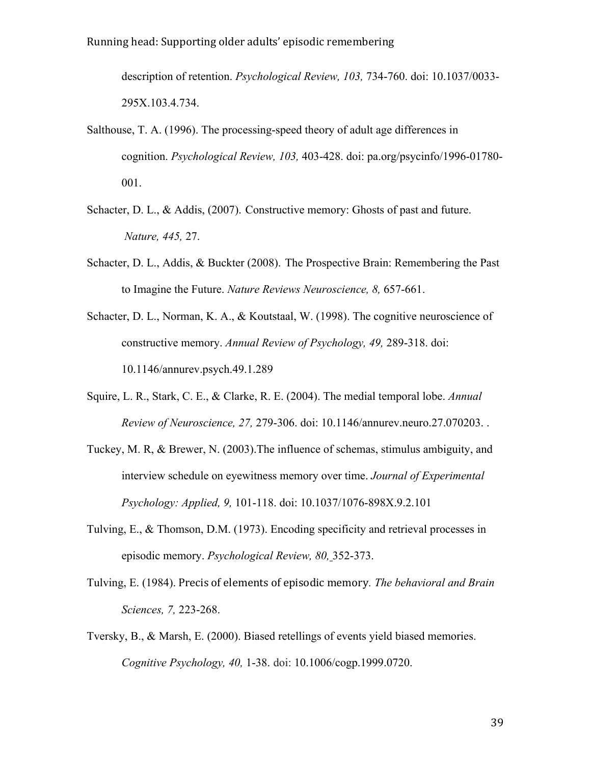description of retention. *Psychological Review, 103,* 734-760. doi: 10.1037/0033- 295X.103.4.734.

- Salthouse, T. A. (1996). The processing-speed theory of adult age differences in cognition. *Psychological Review, 103,* 403-428. doi: pa.org/psycinfo/1996-01780- 001.
- Schacter, D. L., & Addis, (2007). Constructive memory: Ghosts of past and future. *Nature, 445,* 27.
- Schacter, D. L., Addis, & Buckter (2008). The Prospective Brain: Remembering the Past to Imagine the Future. *Nature Reviews Neuroscience, 8,* 657-661.
- Schacter, D. L., Norman, K. A., & Koutstaal, W. (1998). The cognitive neuroscience of constructive memory. *Annual Review of Psychology, 49,* 289-318. doi: 10.1146/annurev.psych.49.1.289
- Squire, L. R., Stark, C. E., & Clarke, R. E. (2004). The medial temporal lobe. *Annual Review of Neuroscience, 27,* 279-306. doi: 10.1146/annurev.neuro.27.070203. .
- Tuckey, M. R, & Brewer, N. (2003).The influence of schemas, stimulus ambiguity, and interview schedule on eyewitness memory over time. *Journal of Experimental Psychology: Applied, 9,* 101-118. doi: 10.1037/1076-898X.9.2.101
- Tulving, E., & Thomson, D.M. (1973). Encoding specificity and retrieval processes in episodic memory. *Psychological Review, 80,* 352-373.
- Tulving, E. (1984). Precis of elements of episodic memory. *The behavioral and Brain Sciences, 7,* 223-268.
- Tversky, B., & Marsh, E. (2000). Biased retellings of events yield biased memories. *Cognitive Psychology, 40,* 1-38. doi: 10.1006/cogp.1999.0720.